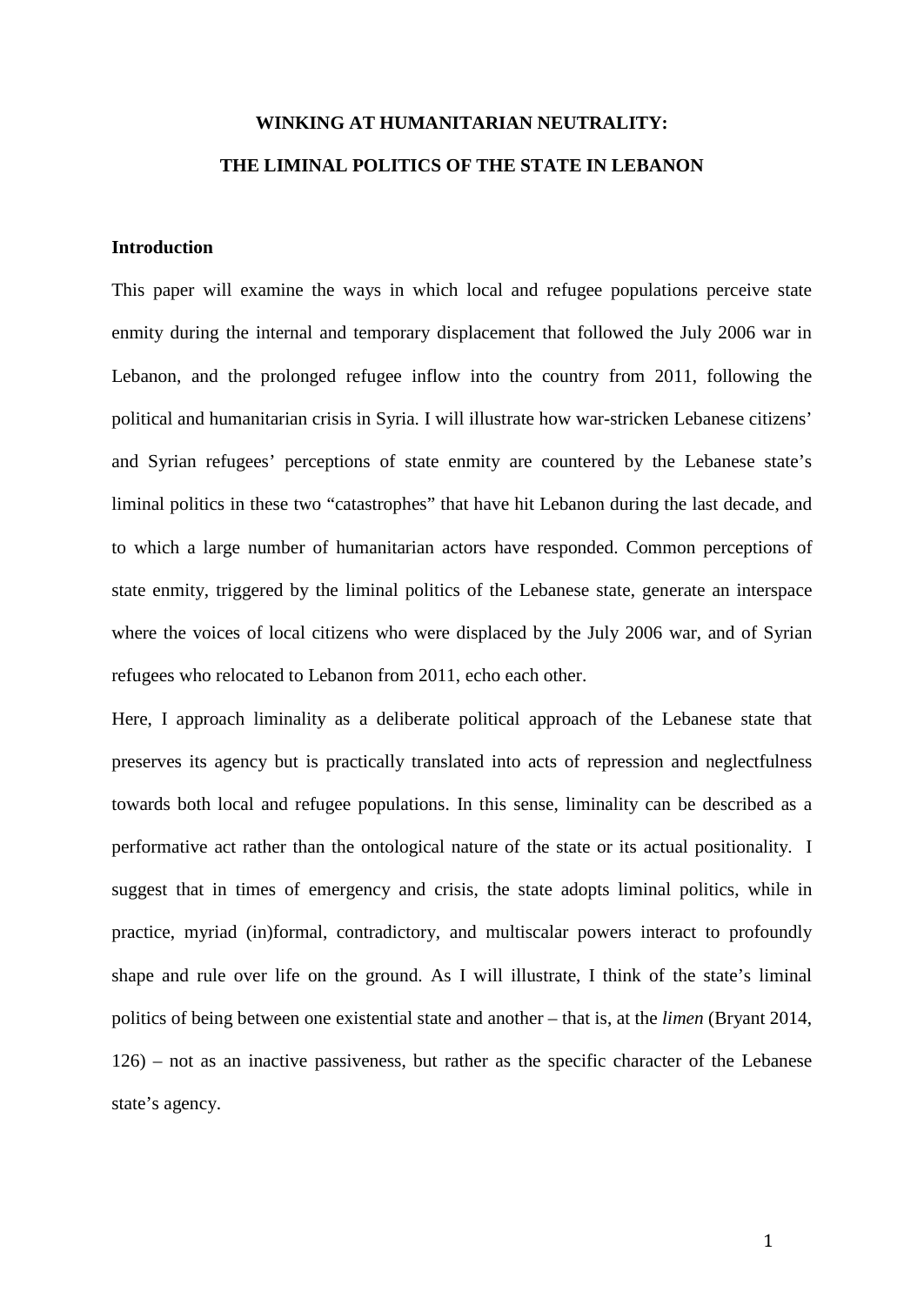# **WINKING AT HUMANITARIAN NEUTRALITY: THE LIMINAL POLITICS OF THE STATE IN LEBANON**

## **Introduction**

This paper will examine the ways in which local and refugee populations perceive state enmity during the internal and temporary displacement that followed the July 2006 war in Lebanon, and the prolonged refugee inflow into the country from 2011, following the political and humanitarian crisis in Syria. I will illustrate how war-stricken Lebanese citizens' and Syrian refugees' perceptions of state enmity are countered by the Lebanese state's liminal politics in these two "catastrophes" that have hit Lebanon during the last decade, and to which a large number of humanitarian actors have responded. Common perceptions of state enmity, triggered by the liminal politics of the Lebanese state, generate an interspace where the voices of local citizens who were displaced by the July 2006 war, and of Syrian refugees who relocated to Lebanon from 2011, echo each other.

Here, I approach liminality as a deliberate political approach of the Lebanese state that preserves its agency but is practically translated into acts of repression and neglectfulness towards both local and refugee populations. In this sense, liminality can be described as a performative act rather than the ontological nature of the state or its actual positionality. I suggest that in times of emergency and crisis, the state adopts liminal politics, while in practice, myriad (in)formal, contradictory, and multiscalar powers interact to profoundly shape and rule over life on the ground. As I will illustrate, I think of the state's liminal politics of being between one existential state and another – that is, at the *limen* (Bryant 2014, 126) – not as an inactive passiveness, but rather as the specific character of the Lebanese state's agency.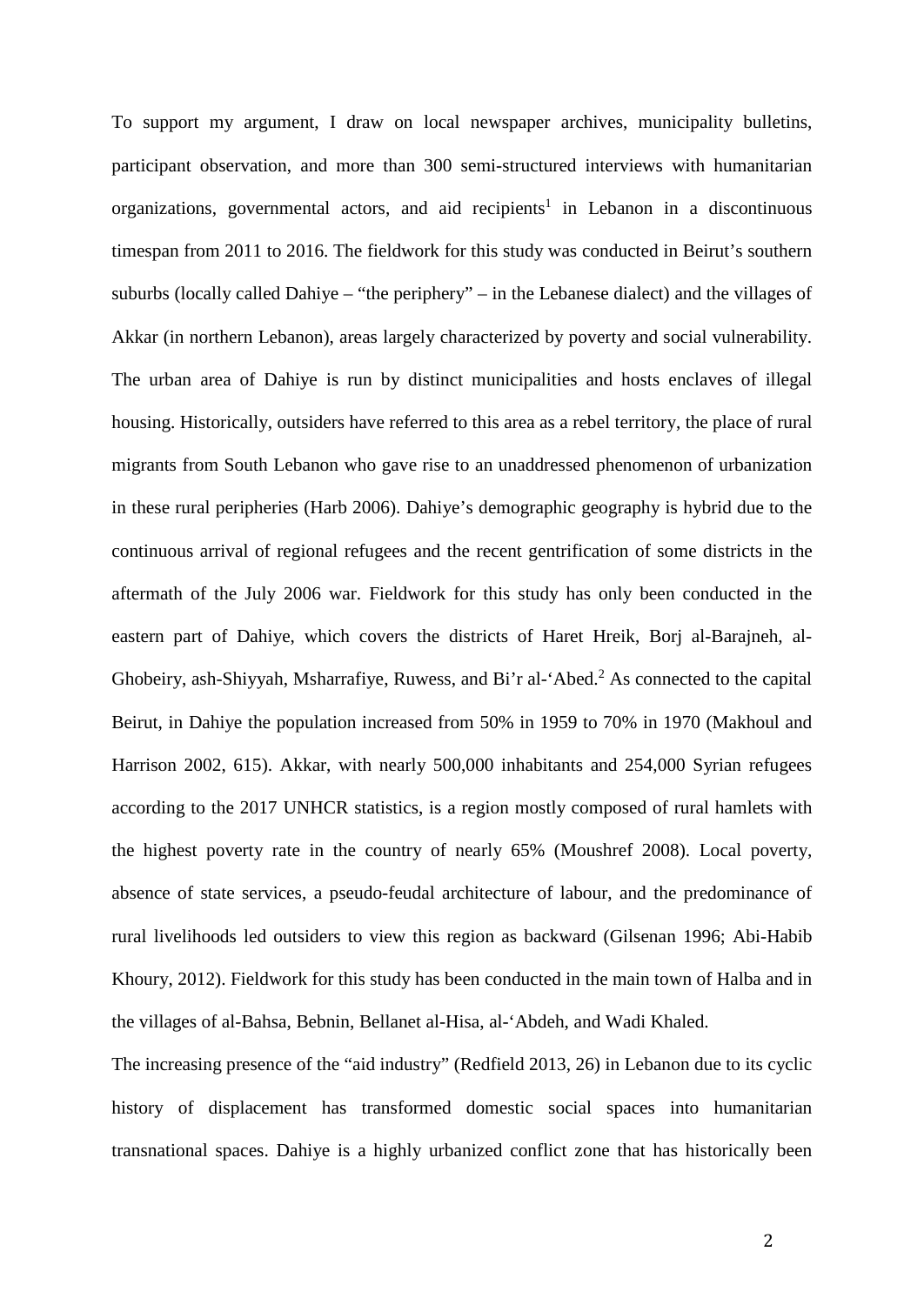To support my argument, I draw on local newspaper archives, municipality bulletins, participant observation, and more than 300 semi-structured interviews with humanitarian organizations, governmental actors, and aid recipients<sup>1</sup> in Lebanon in a discontinuous timespan from 2011 to 2016. The fieldwork for this study was conducted in Beirut's southern suburbs (locally called Dahiye – "the periphery" – in the Lebanese dialect) and the villages of Akkar (in northern Lebanon), areas largely characterized by poverty and social vulnerability. The urban area of Dahiye is run by distinct municipalities and hosts enclaves of illegal housing. Historically, outsiders have referred to this area as a rebel territory, the place of rural migrants from South Lebanon who gave rise to an unaddressed phenomenon of urbanization in these rural peripheries (Harb 2006). Dahiye's demographic geography is hybrid due to the continuous arrival of regional refugees and the recent gentrification of some districts in the aftermath of the July 2006 war. Fieldwork for this study has only been conducted in the eastern part of Dahiye, which covers the districts of Haret Hreik, Borj al-Barajneh, al-Ghobeiry, ash-Shiyyah, Msharrafiye, Ruwess, and Bi'r al-'Abed.<sup>2</sup> As connected to the capital Beirut, in Dahiye the population increased from 50% in 1959 to 70% in 1970 (Makhoul and Harrison 2002, 615). Akkar, with nearly 500,000 inhabitants and 254,000 Syrian refugees according to the 2017 UNHCR statistics, is a region mostly composed of rural hamlets with the highest poverty rate in the country of nearly 65% (Moushref 2008). Local poverty, absence of state services, a pseudo-feudal architecture of labour, and the predominance of rural livelihoods led outsiders to view this region as backward (Gilsenan 1996; Abi-Habib Khoury, 2012). Fieldwork for this study has been conducted in the main town of Halba and in the villages of al-Bahsa, Bebnin, Bellanet al-Hisa, al-'Abdeh, and Wadi Khaled.

The increasing presence of the "aid industry" (Redfield 2013, 26) in Lebanon due to its cyclic history of displacement has transformed domestic social spaces into humanitarian transnational spaces. Dahiye is a highly urbanized conflict zone that has historically been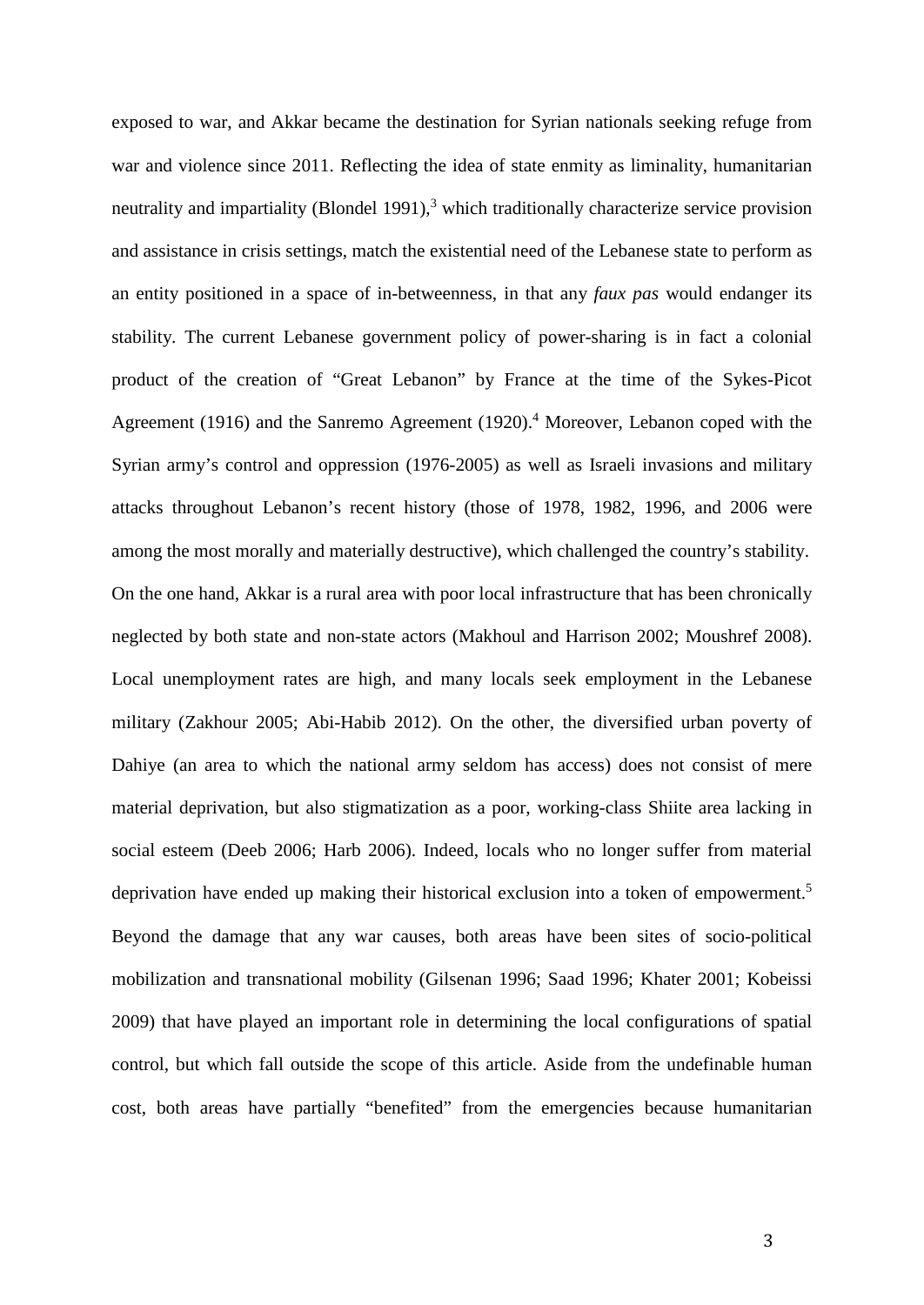exposed to war, and Akkar became the destination for Syrian nationals seeking refuge from war and violence since 2011. Reflecting the idea of state enmity as liminality, humanitarian neutrality and impartiality (Blondel 1991), $3$  which traditionally characterize service provision and assistance in crisis settings, match the existential need of the Lebanese state to perform as an entity positioned in a space of in-betweenness, in that any *faux pas* would endanger its stability. The current Lebanese government policy of power-sharing is in fact a colonial product of the creation of "Great Lebanon" by France at the time of the Sykes-Picot Agreement (1916) and the Sanremo Agreement (1920).<sup>4</sup> Moreover, Lebanon coped with the Syrian army's control and oppression (1976-2005) as well as Israeli invasions and military attacks throughout Lebanon's recent history (those of 1978, 1982, 1996, and 2006 were among the most morally and materially destructive), which challenged the country's stability. On the one hand, Akkar is a rural area with poor local infrastructure that has been chronically neglected by both state and non-state actors (Makhoul and Harrison 2002; Moushref 2008). Local unemployment rates are high, and many locals seek employment in the Lebanese military (Zakhour 2005; Abi-Habib 2012). On the other, the diversified urban poverty of Dahiye (an area to which the national army seldom has access) does not consist of mere material deprivation, but also stigmatization as a poor, working-class Shiite area lacking in social esteem (Deeb 2006; Harb 2006). Indeed, locals who no longer suffer from material deprivation have ended up making their historical exclusion into a token of empowerment.<sup>5</sup> Beyond the damage that any war causes, both areas have been sites of socio-political mobilization and transnational mobility (Gilsenan 1996; Saad 1996; Khater 2001; Kobeissi 2009) that have played an important role in determining the local configurations of spatial control, but which fall outside the scope of this article. Aside from the undefinable human cost, both areas have partially "benefited" from the emergencies because humanitarian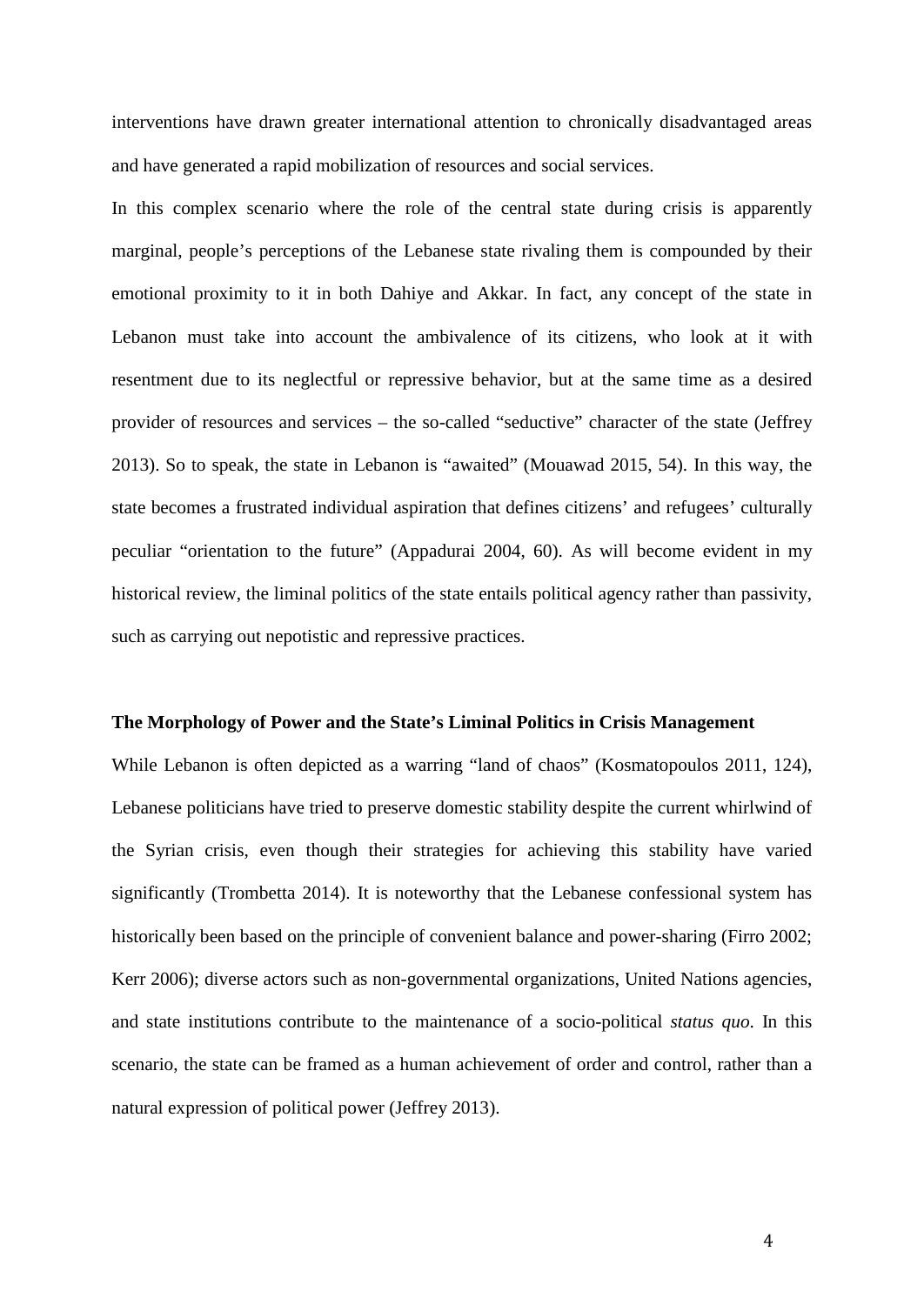interventions have drawn greater international attention to chronically disadvantaged areas and have generated a rapid mobilization of resources and social services.

In this complex scenario where the role of the central state during crisis is apparently marginal, people's perceptions of the Lebanese state rivaling them is compounded by their emotional proximity to it in both Dahiye and Akkar. In fact, any concept of the state in Lebanon must take into account the ambivalence of its citizens, who look at it with resentment due to its neglectful or repressive behavior, but at the same time as a desired provider of resources and services – the so-called "seductive" character of the state (Jeffrey 2013). So to speak, the state in Lebanon is "awaited" (Mouawad 2015, 54). In this way, the state becomes a frustrated individual aspiration that defines citizens' and refugees' culturally peculiar "orientation to the future" (Appadurai 2004, 60). As will become evident in my historical review, the liminal politics of the state entails political agency rather than passivity, such as carrying out nepotistic and repressive practices.

#### **The Morphology of Power and the State's Liminal Politics in Crisis Management**

While Lebanon is often depicted as a warring "land of chaos" (Kosmatopoulos 2011, 124), Lebanese politicians have tried to preserve domestic stability despite the current whirlwind of the Syrian crisis, even though their strategies for achieving this stability have varied significantly (Trombetta 2014). It is noteworthy that the Lebanese confessional system has historically been based on the principle of convenient balance and power-sharing (Firro 2002; Kerr 2006); diverse actors such as non-governmental organizations, United Nations agencies, and state institutions contribute to the maintenance of a socio-political *status quo*. In this scenario, the state can be framed as a human achievement of order and control, rather than a natural expression of political power (Jeffrey 2013).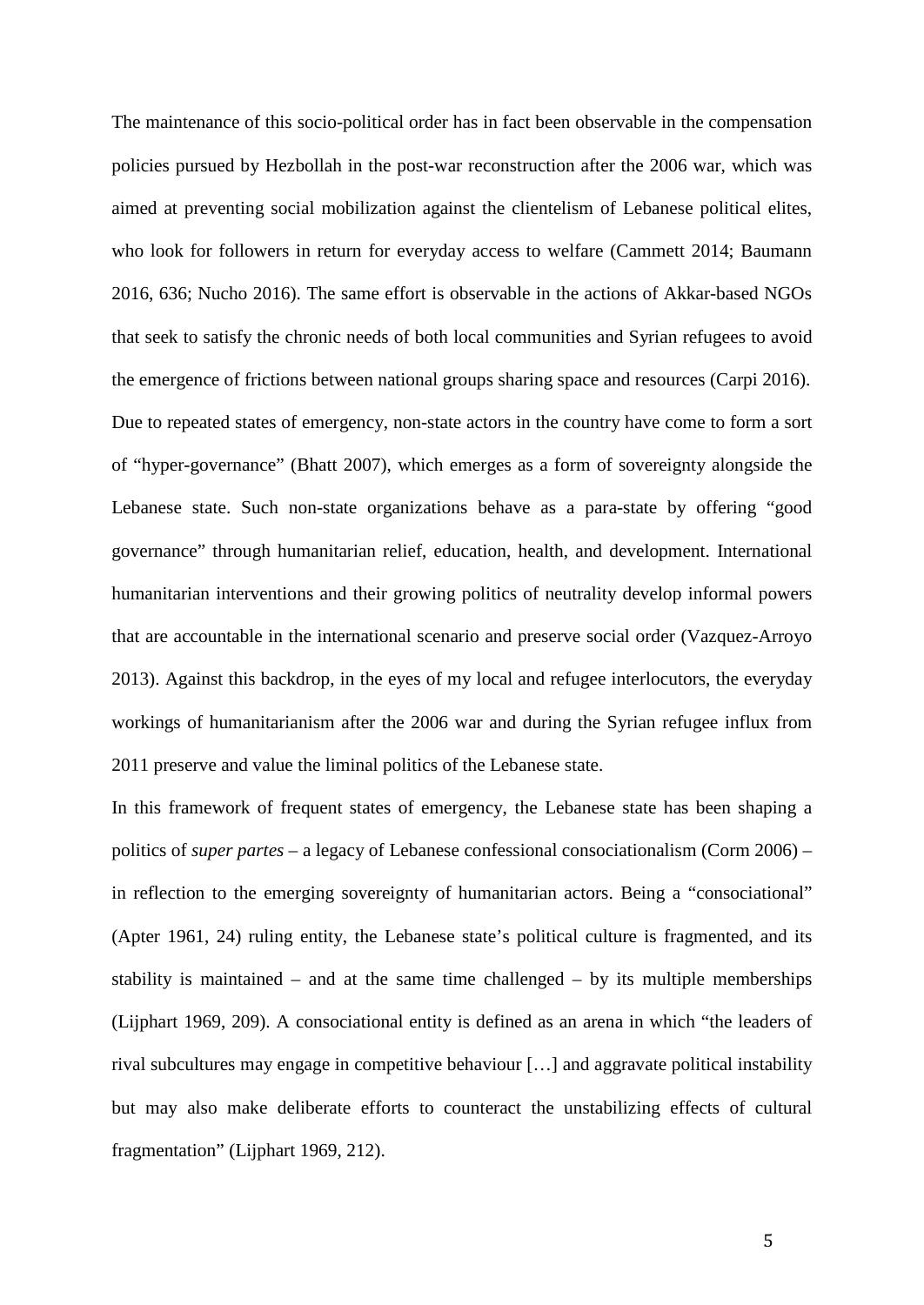The maintenance of this socio-political order has in fact been observable in the compensation policies pursued by Hezbollah in the post-war reconstruction after the 2006 war, which was aimed at preventing social mobilization against the clientelism of Lebanese political elites, who look for followers in return for everyday access to welfare (Cammett 2014; Baumann 2016, 636; Nucho 2016). The same effort is observable in the actions of Akkar-based NGOs that seek to satisfy the chronic needs of both local communities and Syrian refugees to avoid the emergence of frictions between national groups sharing space and resources (Carpi 2016). Due to repeated states of emergency, non-state actors in the country have come to form a sort of "hyper-governance" (Bhatt 2007), which emerges as a form of sovereignty alongside the Lebanese state. Such non-state organizations behave as a para-state by offering "good governance" through humanitarian relief, education, health, and development. International humanitarian interventions and their growing politics of neutrality develop informal powers that are accountable in the international scenario and preserve social order (Vazquez-Arroyo 2013). Against this backdrop, in the eyes of my local and refugee interlocutors, the everyday workings of humanitarianism after the 2006 war and during the Syrian refugee influx from 2011 preserve and value the liminal politics of the Lebanese state.

In this framework of frequent states of emergency, the Lebanese state has been shaping a politics of *super partes* – a legacy of Lebanese confessional consociationalism (Corm 2006) – in reflection to the emerging sovereignty of humanitarian actors. Being a "consociational" (Apter 1961, 24) ruling entity, the Lebanese state's political culture is fragmented, and its stability is maintained – and at the same time challenged – by its multiple memberships (Lijphart 1969, 209). A consociational entity is defined as an arena in which "the leaders of rival subcultures may engage in competitive behaviour […] and aggravate political instability but may also make deliberate efforts to counteract the unstabilizing effects of cultural fragmentation" (Lijphart 1969, 212).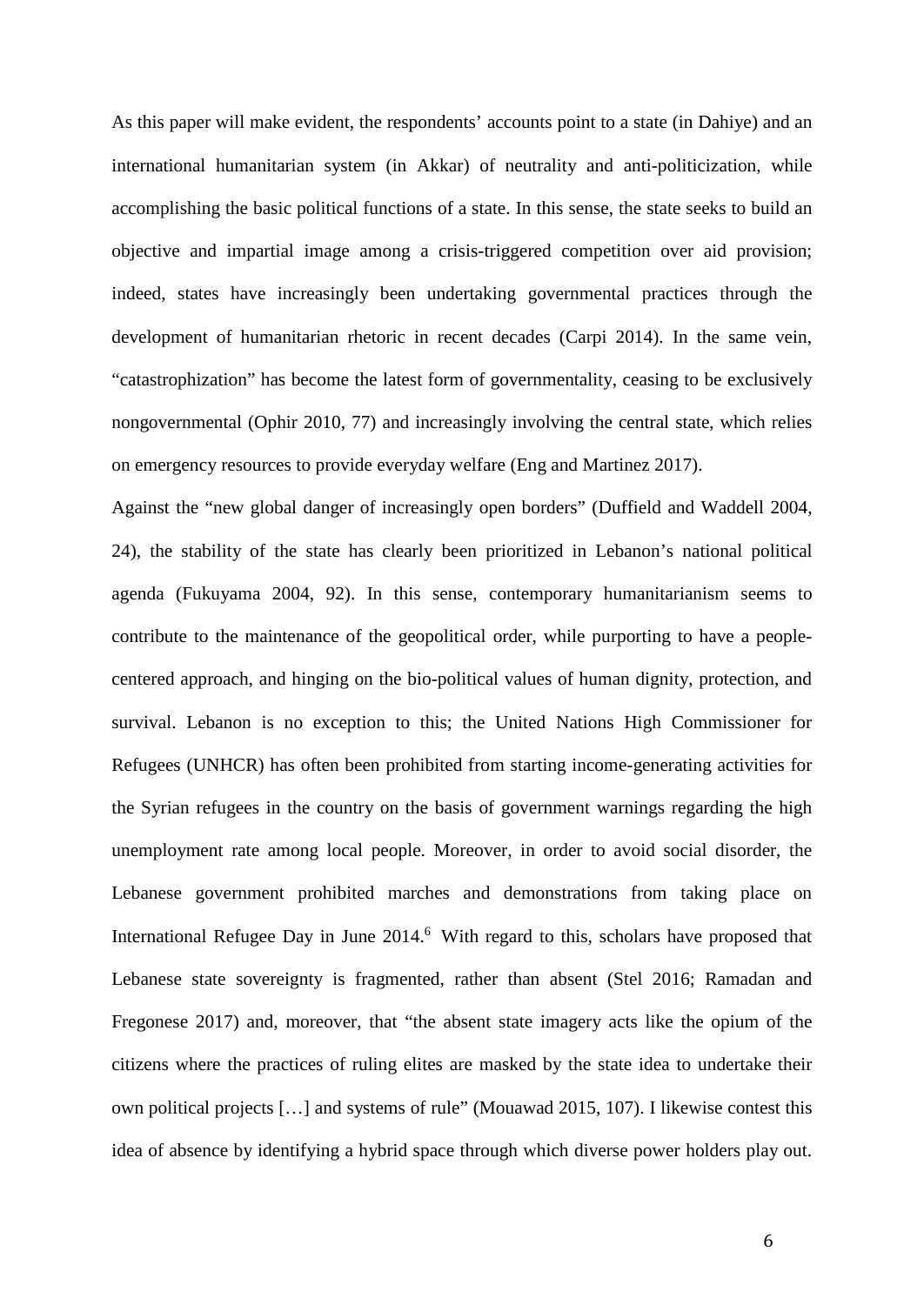As this paper will make evident, the respondents' accounts point to a state (in Dahiye) and an international humanitarian system (in Akkar) of neutrality and anti-politicization, while accomplishing the basic political functions of a state. In this sense, the state seeks to build an objective and impartial image among a crisis-triggered competition over aid provision; indeed, states have increasingly been undertaking governmental practices through the development of humanitarian rhetoric in recent decades (Carpi 2014). In the same vein, "catastrophization" has become the latest form of governmentality, ceasing to be exclusively nongovernmental (Ophir 2010, 77) and increasingly involving the central state, which relies on emergency resources to provide everyday welfare (Eng and Martinez 2017).

Against the "new global danger of increasingly open borders" (Duffield and Waddell 2004, 24), the stability of the state has clearly been prioritized in Lebanon's national political agenda (Fukuyama 2004, 92). In this sense, contemporary humanitarianism seems to contribute to the maintenance of the geopolitical order, while purporting to have a peoplecentered approach, and hinging on the bio-political values of human dignity, protection, and survival. Lebanon is no exception to this; the United Nations High Commissioner for Refugees (UNHCR) has often been prohibited from starting income-generating activities for the Syrian refugees in the country on the basis of government warnings regarding the high unemployment rate among local people. Moreover, in order to avoid social disorder, the Lebanese government prohibited marches and demonstrations from taking place on International Refugee Day in June 2014.<sup>6</sup> With regard to this, scholars have proposed that Lebanese state sovereignty is fragmented, rather than absent (Stel 2016; Ramadan and Fregonese 2017) and, moreover, that "the absent state imagery acts like the opium of the citizens where the practices of ruling elites are masked by the state idea to undertake their own political projects […] and systems of rule" (Mouawad 2015, 107). I likewise contest this idea of absence by identifying a hybrid space through which diverse power holders play out.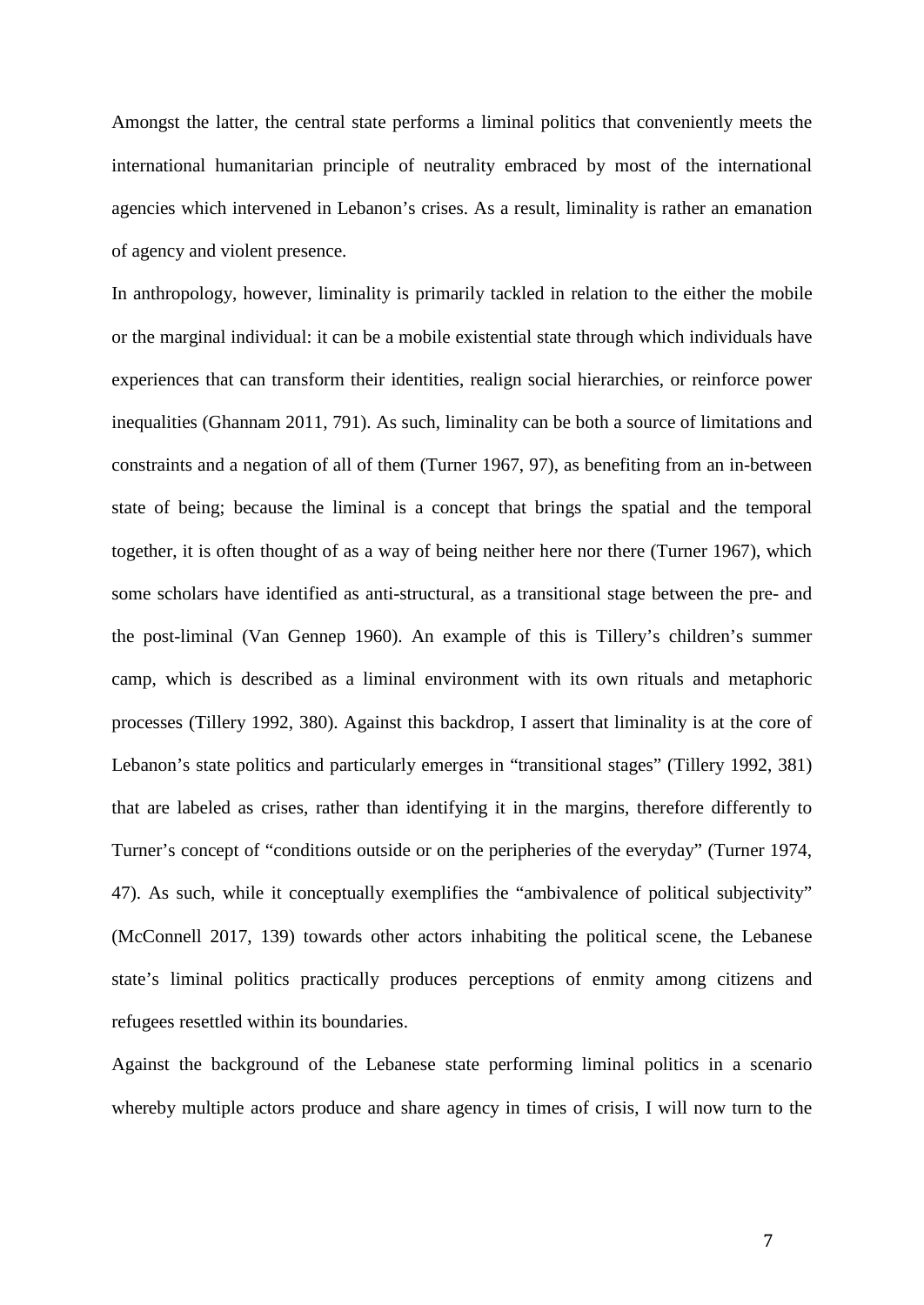Amongst the latter, the central state performs a liminal politics that conveniently meets the international humanitarian principle of neutrality embraced by most of the international agencies which intervened in Lebanon's crises. As a result, liminality is rather an emanation of agency and violent presence.

In anthropology, however, liminality is primarily tackled in relation to the either the mobile or the marginal individual: it can be a mobile existential state through which individuals have experiences that can transform their identities, realign social hierarchies, or reinforce power inequalities (Ghannam 2011, 791). As such, liminality can be both a source of limitations and constraints and a negation of all of them (Turner 1967, 97), as benefiting from an in-between state of being; because the liminal is a concept that brings the spatial and the temporal together, it is often thought of as a way of being neither here nor there (Turner 1967), which some scholars have identified as anti-structural, as a transitional stage between the pre- and the post-liminal (Van Gennep 1960). An example of this is Tillery's children's summer camp, which is described as a liminal environment with its own rituals and metaphoric processes (Tillery 1992, 380). Against this backdrop, I assert that liminality is at the core of Lebanon's state politics and particularly emerges in "transitional stages" (Tillery 1992, 381) that are labeled as crises, rather than identifying it in the margins, therefore differently to Turner's concept of "conditions outside or on the peripheries of the everyday" (Turner 1974, 47). As such, while it conceptually exemplifies the "ambivalence of political subjectivity" (McConnell 2017, 139) towards other actors inhabiting the political scene, the Lebanese state's liminal politics practically produces perceptions of enmity among citizens and refugees resettled within its boundaries.

Against the background of the Lebanese state performing liminal politics in a scenario whereby multiple actors produce and share agency in times of crisis, I will now turn to the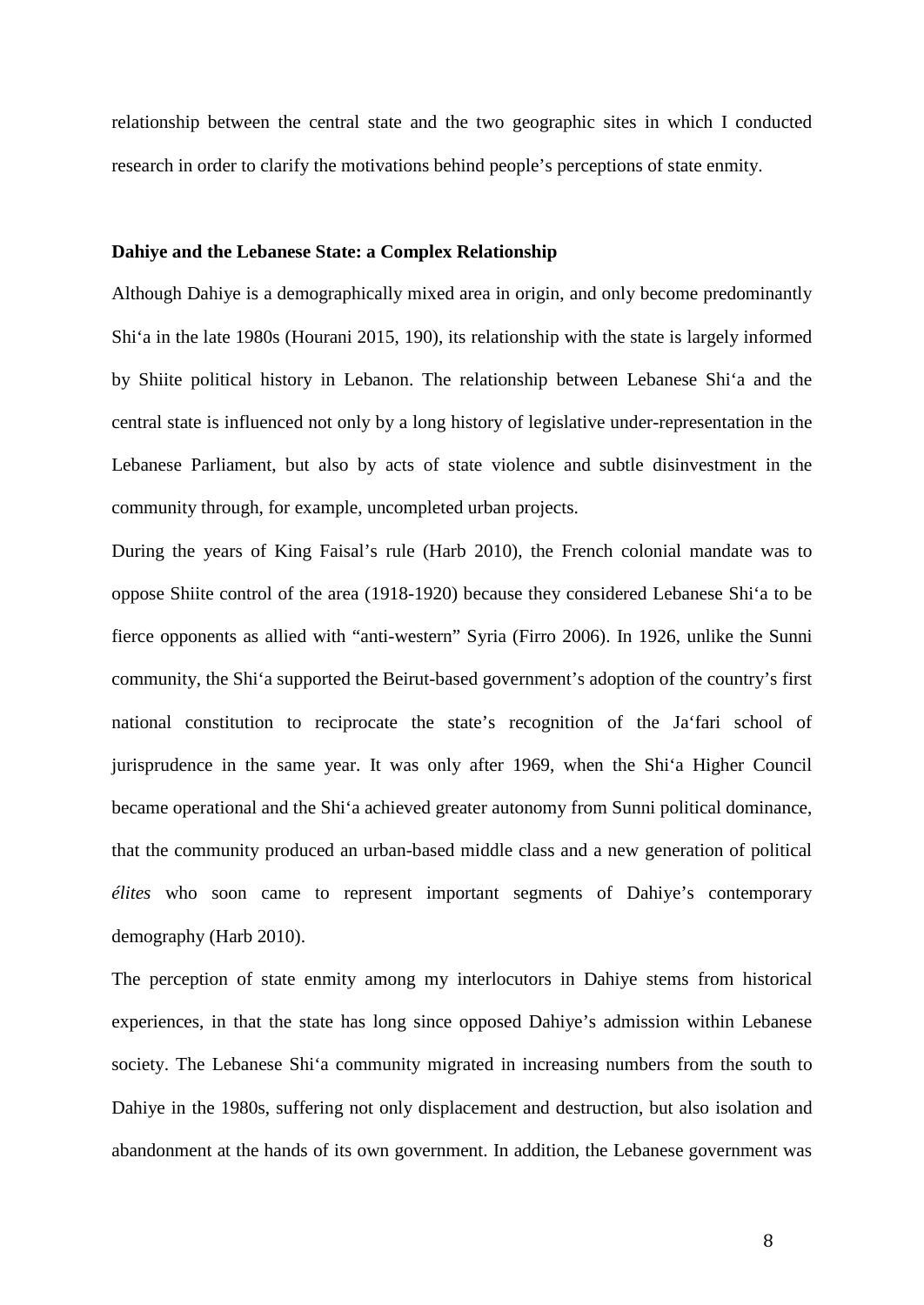relationship between the central state and the two geographic sites in which I conducted research in order to clarify the motivations behind people's perceptions of state enmity.

#### **Dahiye and the Lebanese State: a Complex Relationship**

Although Dahiye is a demographically mixed area in origin, and only become predominantly Shi'a in the late 1980s (Hourani 2015, 190), its relationship with the state is largely informed by Shiite political history in Lebanon. The relationship between Lebanese Shi'a and the central state is influenced not only by a long history of legislative under-representation in the Lebanese Parliament, but also by acts of state violence and subtle disinvestment in the community through, for example, uncompleted urban projects.

During the years of King Faisal's rule (Harb 2010), the French colonial mandate was to oppose Shiite control of the area (1918-1920) because they considered Lebanese Shi'a to be fierce opponents as allied with "anti-western" Syria (Firro 2006). In 1926, unlike the Sunni community, the Shi'a supported the Beirut-based government's adoption of the country's first national constitution to reciprocate the state's recognition of the Ja'fari school of jurisprudence in the same year. It was only after 1969, when the Shi'a Higher Council became operational and the Shi'a achieved greater autonomy from Sunni political dominance, that the community produced an urban-based middle class and a new generation of political *élites* who soon came to represent important segments of Dahiye's contemporary demography (Harb 2010).

The perception of state enmity among my interlocutors in Dahiye stems from historical experiences, in that the state has long since opposed Dahiye's admission within Lebanese society. The Lebanese Shi'a community migrated in increasing numbers from the south to Dahiye in the 1980s, suffering not only displacement and destruction, but also isolation and abandonment at the hands of its own government. In addition, the Lebanese government was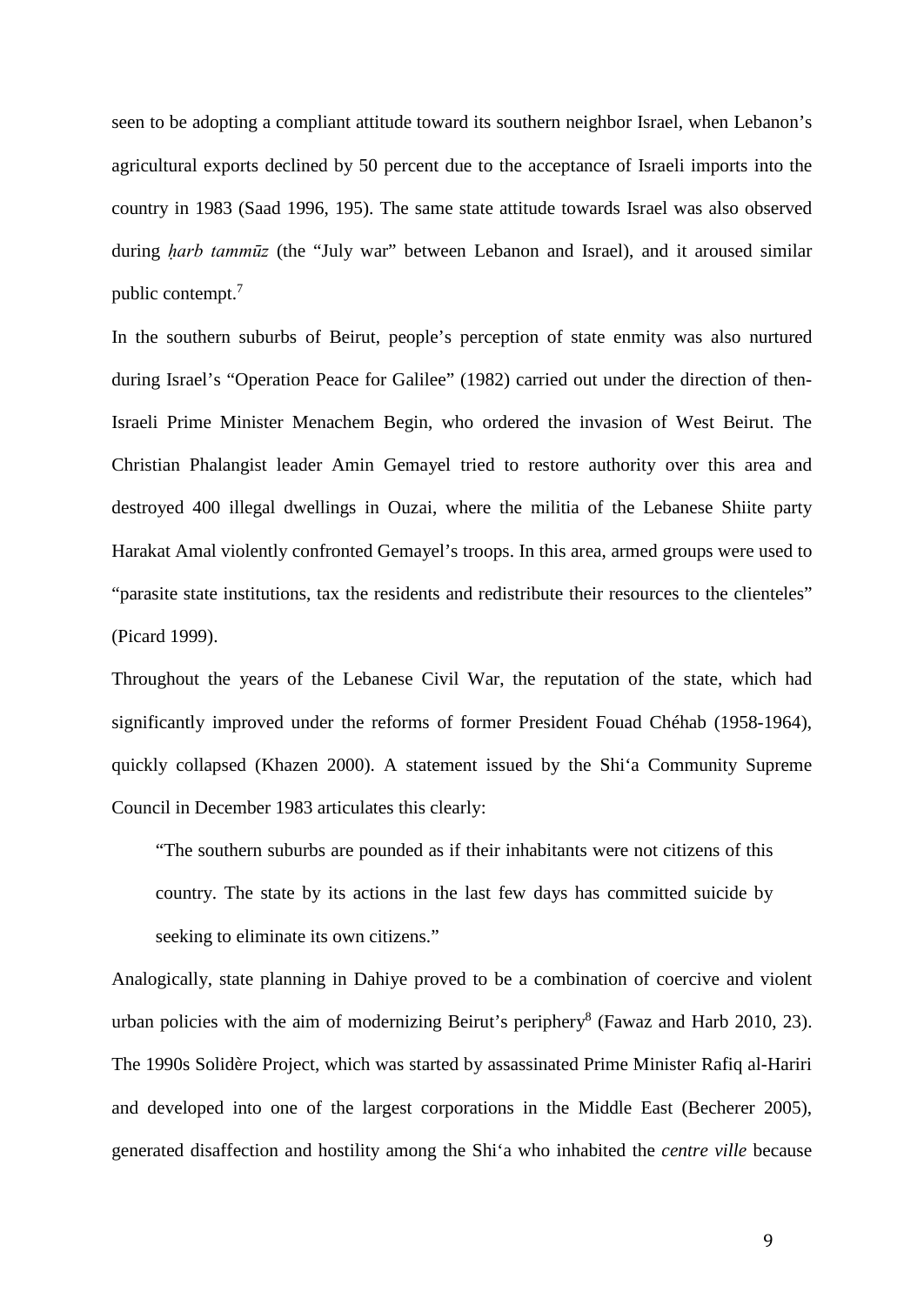seen to be adopting a compliant attitude toward its southern neighbor Israel, when Lebanon's agricultural exports declined by 50 percent due to the acceptance of Israeli imports into the country in 1983 (Saad 1996, 195). The same state attitude towards Israel was also observed during *ḥarb tammūz* (the "July war" between Lebanon and Israel), and it aroused similar public contempt.<sup>7</sup>

In the southern suburbs of Beirut, people's perception of state enmity was also nurtured during Israel's "Operation Peace for Galilee" (1982) carried out under the direction of then-Israeli Prime Minister Menachem Begin, who ordered the invasion of West Beirut. The Christian Phalangist leader Amin Gemayel tried to restore authority over this area and destroyed 400 illegal dwellings in Ouzai, where the militia of the Lebanese Shiite party Harakat Amal violently confronted Gemayel's troops. In this area, armed groups were used to "parasite state institutions, tax the residents and redistribute their resources to the clienteles" (Picard 1999).

Throughout the years of the Lebanese Civil War, the reputation of the state, which had significantly improved under the reforms of former President Fouad Chéhab (1958-1964), quickly collapsed (Khazen 2000). A statement issued by the Shi'a Community Supreme Council in December 1983 articulates this clearly:

"The southern suburbs are pounded as if their inhabitants were not citizens of this country. The state by its actions in the last few days has committed suicide by seeking to eliminate its own citizens."

Analogically, state planning in Dahiye proved to be a combination of coercive and violent urban policies with the aim of modernizing Beirut's periphery<sup>8</sup> (Fawaz and Harb 2010, 23). The 1990s Solidère Project, which was started by assassinated Prime Minister Rafiq al-Hariri and developed into one of the largest corporations in the Middle East (Becherer 2005), generated disaffection and hostility among the Shi'a who inhabited the *centre ville* because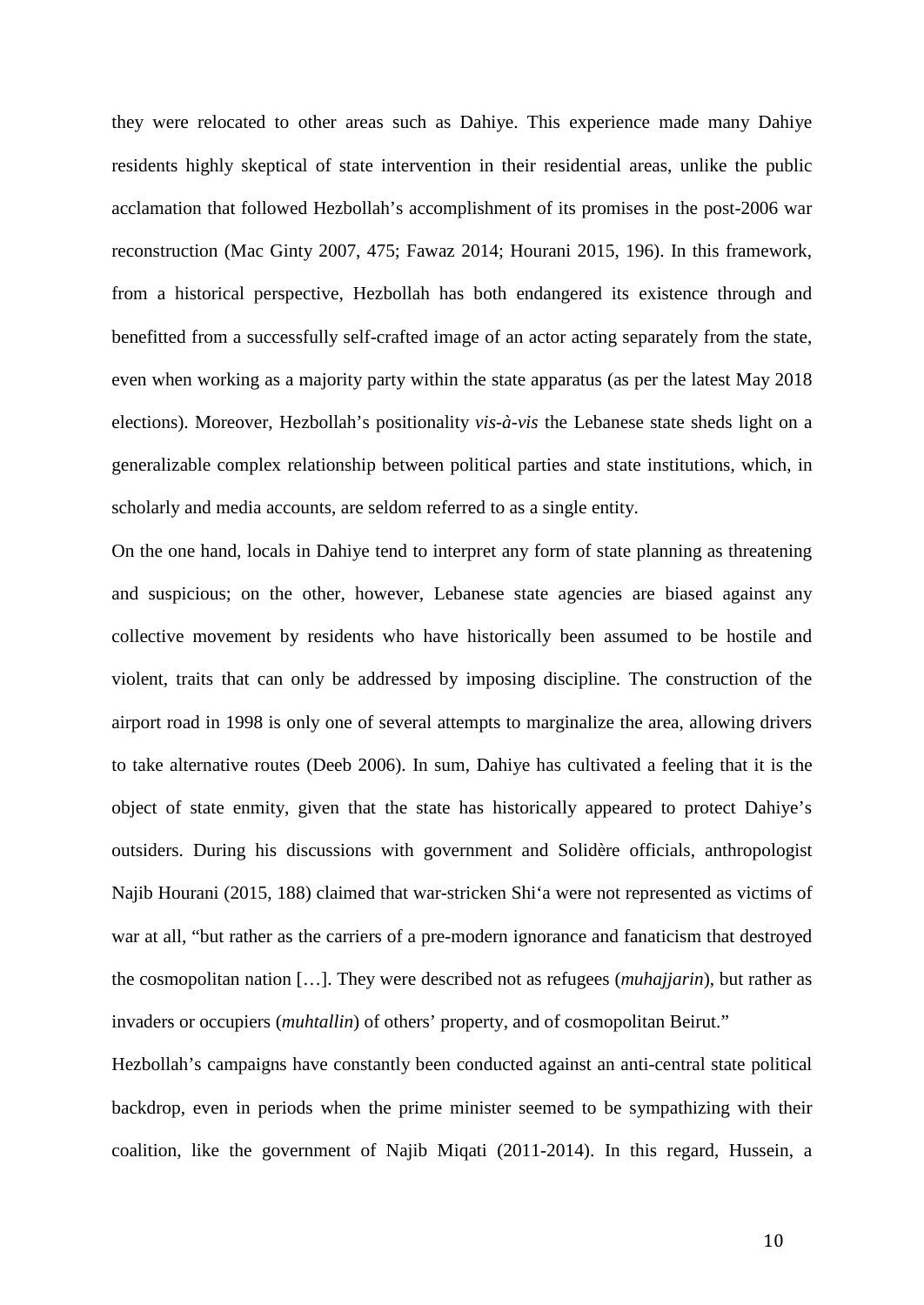they were relocated to other areas such as Dahiye. This experience made many Dahiye residents highly skeptical of state intervention in their residential areas, unlike the public acclamation that followed Hezbollah's accomplishment of its promises in the post-2006 war reconstruction (Mac Ginty 2007, 475; Fawaz 2014; Hourani 2015, 196). In this framework, from a historical perspective, Hezbollah has both endangered its existence through and benefitted from a successfully self-crafted image of an actor acting separately from the state, even when working as a majority party within the state apparatus (as per the latest May 2018 elections). Moreover, Hezbollah's positionality *vis-à-vis* the Lebanese state sheds light on a generalizable complex relationship between political parties and state institutions, which, in scholarly and media accounts, are seldom referred to as a single entity.

On the one hand, locals in Dahiye tend to interpret any form of state planning as threatening and suspicious; on the other, however, Lebanese state agencies are biased against any collective movement by residents who have historically been assumed to be hostile and violent, traits that can only be addressed by imposing discipline. The construction of the airport road in 1998 is only one of several attempts to marginalize the area, allowing drivers to take alternative routes (Deeb 2006). In sum, Dahiye has cultivated a feeling that it is the object of state enmity, given that the state has historically appeared to protect Dahiye's outsiders. During his discussions with government and Solidère officials, anthropologist Najib Hourani (2015, 188) claimed that war-stricken Shi'a were not represented as victims of war at all, "but rather as the carriers of a pre-modern ignorance and fanaticism that destroyed the cosmopolitan nation […]. They were described not as refugees (*muhajjarin*), but rather as invaders or occupiers (*muhtallin*) of others' property, and of cosmopolitan Beirut."

Hezbollah's campaigns have constantly been conducted against an anti-central state political backdrop, even in periods when the prime minister seemed to be sympathizing with their coalition, like the government of Najib Miqati (2011-2014). In this regard, Hussein, a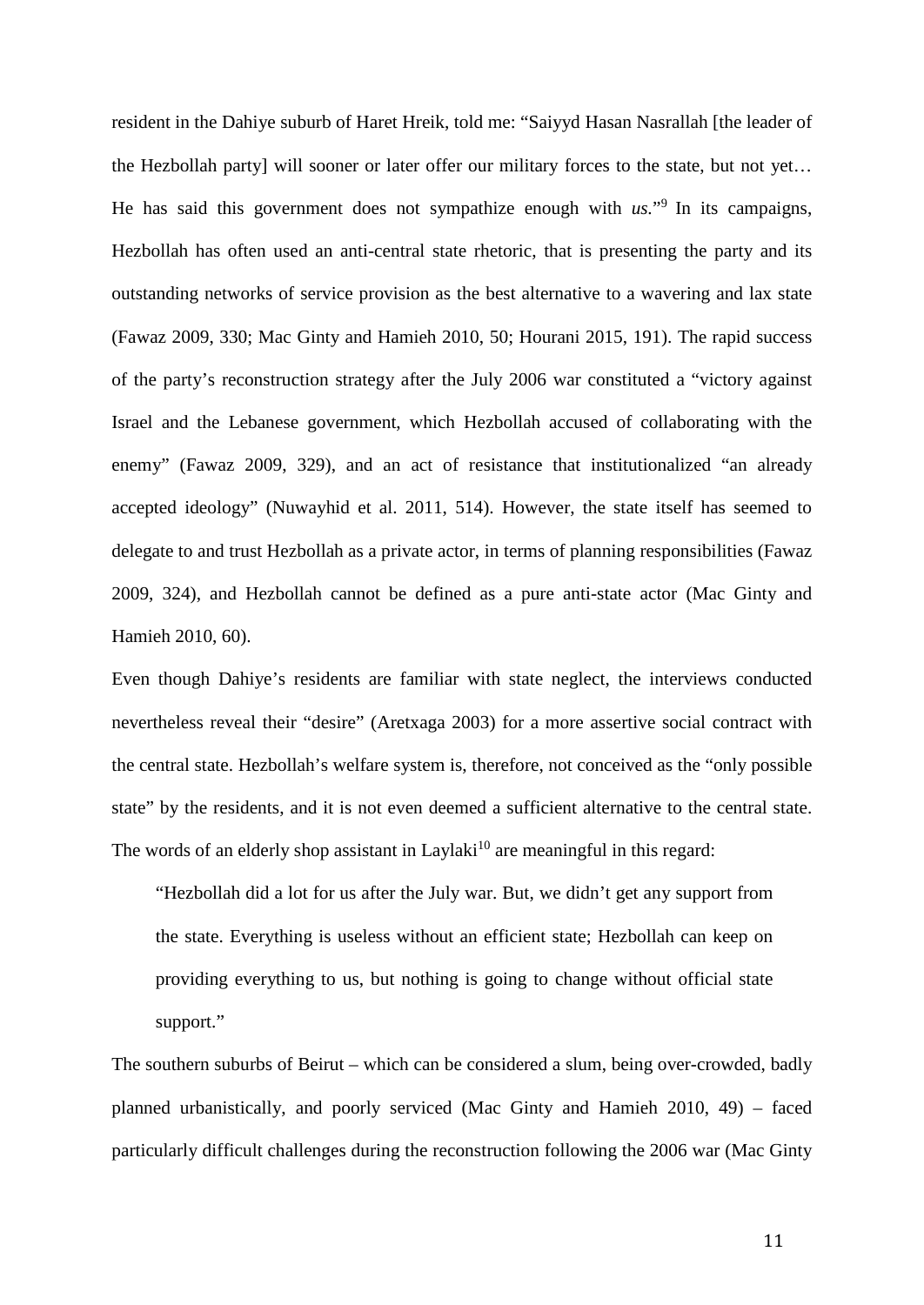resident in the Dahiye suburb of Haret Hreik, told me: "Saiyyd Hasan Nasrallah [the leader of the Hezbollah party] will sooner or later offer our military forces to the state, but not yet… He has said this government does not sympathize enough with  $us.^{"9}$  In its campaigns, Hezbollah has often used an anti-central state rhetoric, that is presenting the party and its outstanding networks of service provision as the best alternative to a wavering and lax state (Fawaz 2009, 330; Mac Ginty and Hamieh 2010, 50; Hourani 2015, 191). The rapid success of the party's reconstruction strategy after the July 2006 war constituted a "victory against Israel and the Lebanese government, which Hezbollah accused of collaborating with the enemy" (Fawaz 2009, 329), and an act of resistance that institutionalized "an already accepted ideology" (Nuwayhid et al. 2011, 514). However, the state itself has seemed to delegate to and trust Hezbollah as a private actor, in terms of planning responsibilities (Fawaz 2009, 324), and Hezbollah cannot be defined as a pure anti-state actor (Mac Ginty and Hamieh 2010, 60).

Even though Dahiye's residents are familiar with state neglect, the interviews conducted nevertheless reveal their "desire" (Aretxaga 2003) for a more assertive social contract with the central state. Hezbollah's welfare system is, therefore, not conceived as the "only possible state" by the residents, and it is not even deemed a sufficient alternative to the central state. The words of an elderly shop assistant in Laylaki<sup>10</sup> are meaningful in this regard:

"Hezbollah did a lot for us after the July war. But, we didn't get any support from the state. Everything is useless without an efficient state; Hezbollah can keep on providing everything to us, but nothing is going to change without official state support."

The southern suburbs of Beirut – which can be considered a slum, being over-crowded, badly planned urbanistically, and poorly serviced (Mac Ginty and Hamieh 2010, 49) – faced particularly difficult challenges during the reconstruction following the 2006 war (Mac Ginty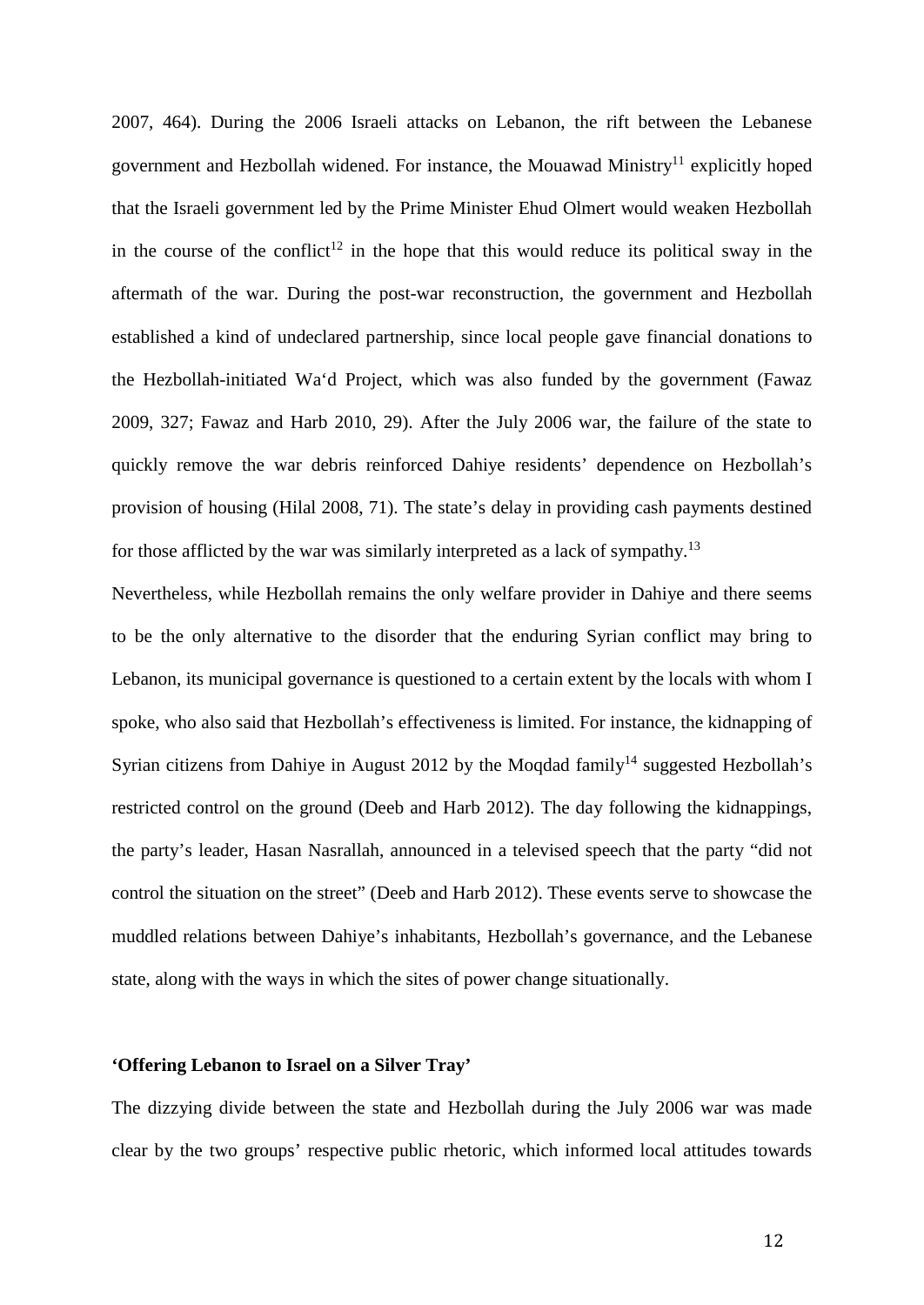2007, 464). During the 2006 Israeli attacks on Lebanon, the rift between the Lebanese government and Hezbollah widened. For instance, the Mouawad Ministry<sup>11</sup> explicitly hoped that the Israeli government led by the Prime Minister Ehud Olmert would weaken Hezbollah in the course of the conflict<sup>12</sup> in the hope that this would reduce its political sway in the aftermath of the war. During the post-war reconstruction, the government and Hezbollah established a kind of undeclared partnership, since local people gave financial donations to the Hezbollah-initiated Wa'd Project, which was also funded by the government (Fawaz 2009, 327; Fawaz and Harb 2010, 29). After the July 2006 war, the failure of the state to quickly remove the war debris reinforced Dahiye residents' dependence on Hezbollah's provision of housing (Hilal 2008, 71). The state's delay in providing cash payments destined for those afflicted by the war was similarly interpreted as a lack of sympathy.<sup>13</sup>

Nevertheless, while Hezbollah remains the only welfare provider in Dahiye and there seems to be the only alternative to the disorder that the enduring Syrian conflict may bring to Lebanon, its municipal governance is questioned to a certain extent by the locals with whom I spoke, who also said that Hezbollah's effectiveness is limited. For instance, the kidnapping of Syrian citizens from Dahiye in August 2012 by the Mogdad family<sup>14</sup> suggested Hezbollah's restricted control on the ground (Deeb and Harb 2012). The day following the kidnappings, the party's leader, Hasan Nasrallah, announced in a televised speech that the party "did not control the situation on the street" (Deeb and Harb 2012). These events serve to showcase the muddled relations between Dahiye's inhabitants, Hezbollah's governance, and the Lebanese state, along with the ways in which the sites of power change situationally.

#### **'Offering Lebanon to Israel on a Silver Tray'**

The dizzying divide between the state and Hezbollah during the July 2006 war was made clear by the two groups' respective public rhetoric, which informed local attitudes towards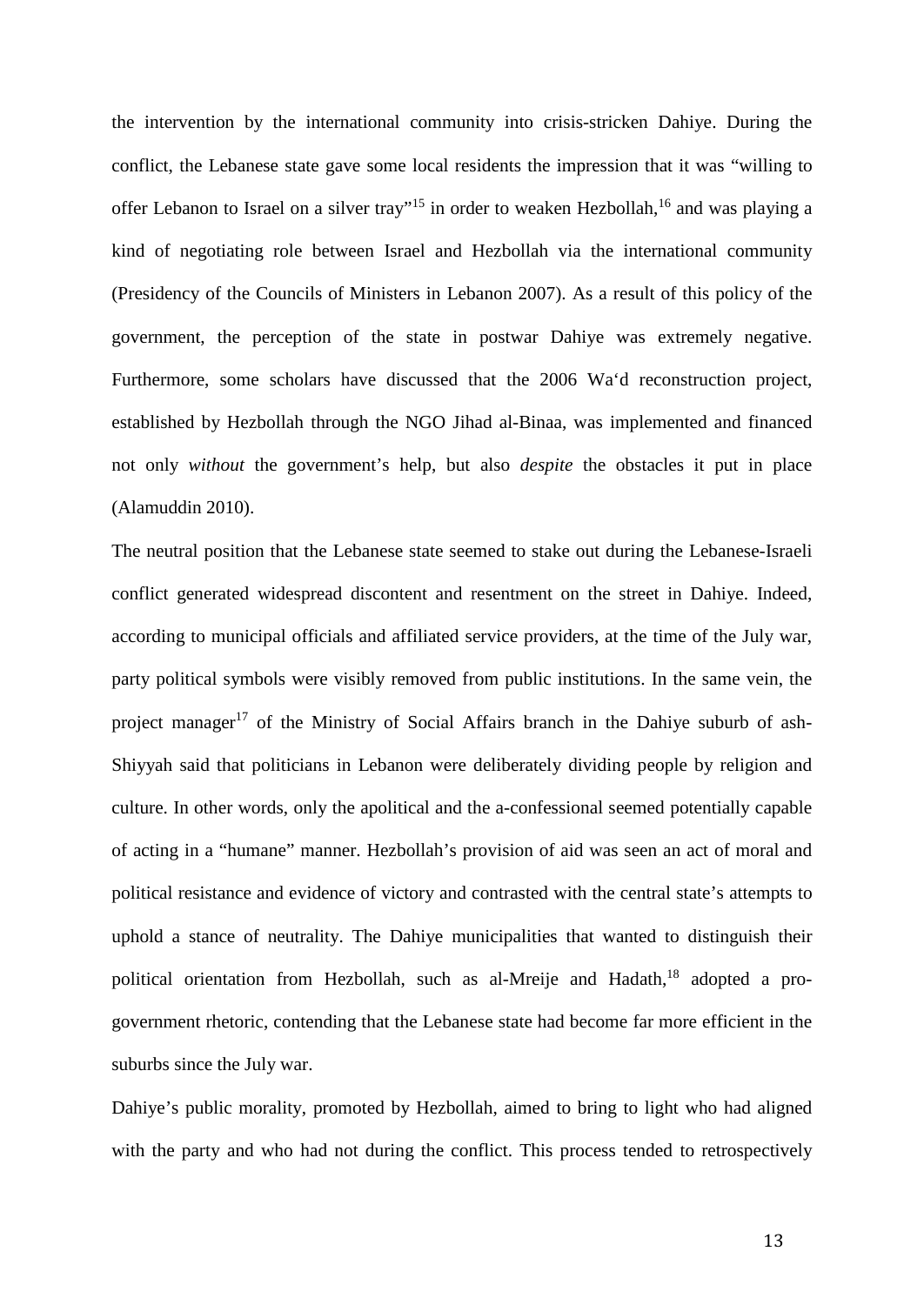the intervention by the international community into crisis-stricken Dahiye. During the conflict, the Lebanese state gave some local residents the impression that it was "willing to offer Lebanon to Israel on a silver tray"<sup>15</sup> in order to weaken Hezbollah,<sup>16</sup> and was playing a kind of negotiating role between Israel and Hezbollah via the international community (Presidency of the Councils of Ministers in Lebanon 2007). As a result of this policy of the government, the perception of the state in postwar Dahiye was extremely negative. Furthermore, some scholars have discussed that the 2006 Wa'd reconstruction project, established by Hezbollah through the NGO Jihad al-Binaa, was implemented and financed not only *without* the government's help, but also *despite* the obstacles it put in place (Alamuddin 2010).

The neutral position that the Lebanese state seemed to stake out during the Lebanese-Israeli conflict generated widespread discontent and resentment on the street in Dahiye. Indeed, according to municipal officials and affiliated service providers, at the time of the July war, party political symbols were visibly removed from public institutions. In the same vein, the project manager<sup>17</sup> of the Ministry of Social Affairs branch in the Dahiye suburb of ash-Shiyyah said that politicians in Lebanon were deliberately dividing people by religion and culture. In other words, only the apolitical and the a-confessional seemed potentially capable of acting in a "humane" manner. Hezbollah's provision of aid was seen an act of moral and political resistance and evidence of victory and contrasted with the central state's attempts to uphold a stance of neutrality. The Dahiye municipalities that wanted to distinguish their political orientation from Hezbollah, such as al-Mreije and Hadath,<sup>18</sup> adopted a progovernment rhetoric, contending that the Lebanese state had become far more efficient in the suburbs since the July war.

Dahiye's public morality, promoted by Hezbollah, aimed to bring to light who had aligned with the party and who had not during the conflict. This process tended to retrospectively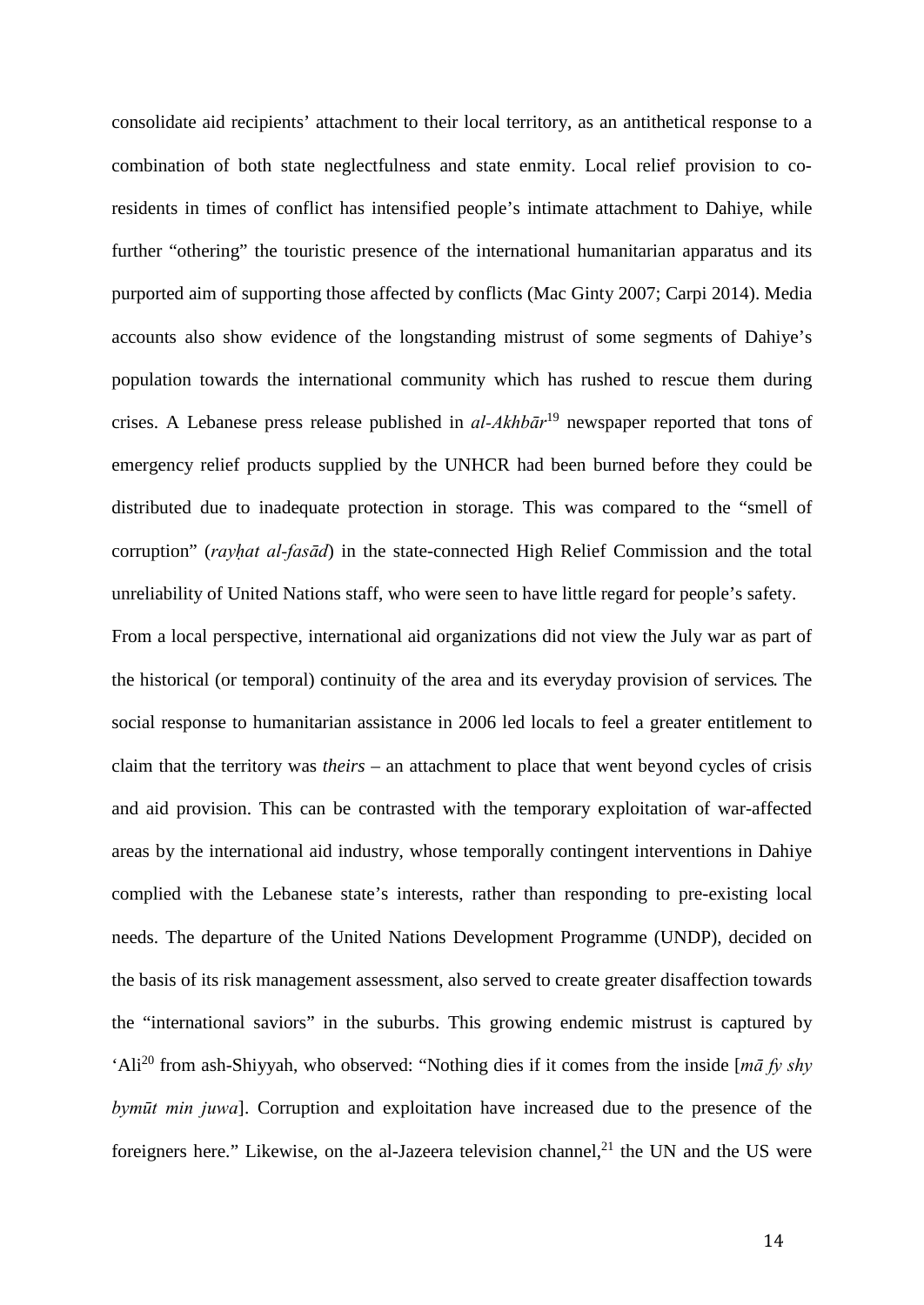consolidate aid recipients' attachment to their local territory, as an antithetical response to a combination of both state neglectfulness and state enmity. Local relief provision to coresidents in times of conflict has intensified people's intimate attachment to Dahiye, while further "othering" the touristic presence of the international humanitarian apparatus and its purported aim of supporting those affected by conflicts (Mac Ginty 2007; Carpi 2014). Media accounts also show evidence of the longstanding mistrust of some segments of Dahiye's population towards the international community which has rushed to rescue them during crises. A Lebanese press release published in *al-Akhbār*<sup>19</sup> newspaper reported that tons of emergency relief products supplied by the UNHCR had been burned before they could be distributed due to inadequate protection in storage. This was compared to the "smell of corruption" (*rayḥat al-fasād*) in the state-connected High Relief Commission and the total unreliability of United Nations staff, who were seen to have little regard for people's safety.

From a local perspective, international aid organizations did not view the July war as part of the historical (or temporal) continuity of the area and its everyday provision of services. The social response to humanitarian assistance in 2006 led locals to feel a greater entitlement to claim that the territory was *theirs* – an attachment to place that went beyond cycles of crisis and aid provision. This can be contrasted with the temporary exploitation of war-affected areas by the international aid industry, whose temporally contingent interventions in Dahiye complied with the Lebanese state's interests, rather than responding to pre-existing local needs. The departure of the United Nations Development Programme (UNDP), decided on the basis of its risk management assessment, also served to create greater disaffection towards the "international saviors" in the suburbs. This growing endemic mistrust is captured by 'Ali<sup>20</sup> from ash-Shiyyah, who observed: "Nothing dies if it comes from the inside [*mā fy shy bymūt min juwa*]. Corruption and exploitation have increased due to the presence of the foreigners here." Likewise, on the al-Jazeera television channel,  $2<sup>1</sup>$  the UN and the US were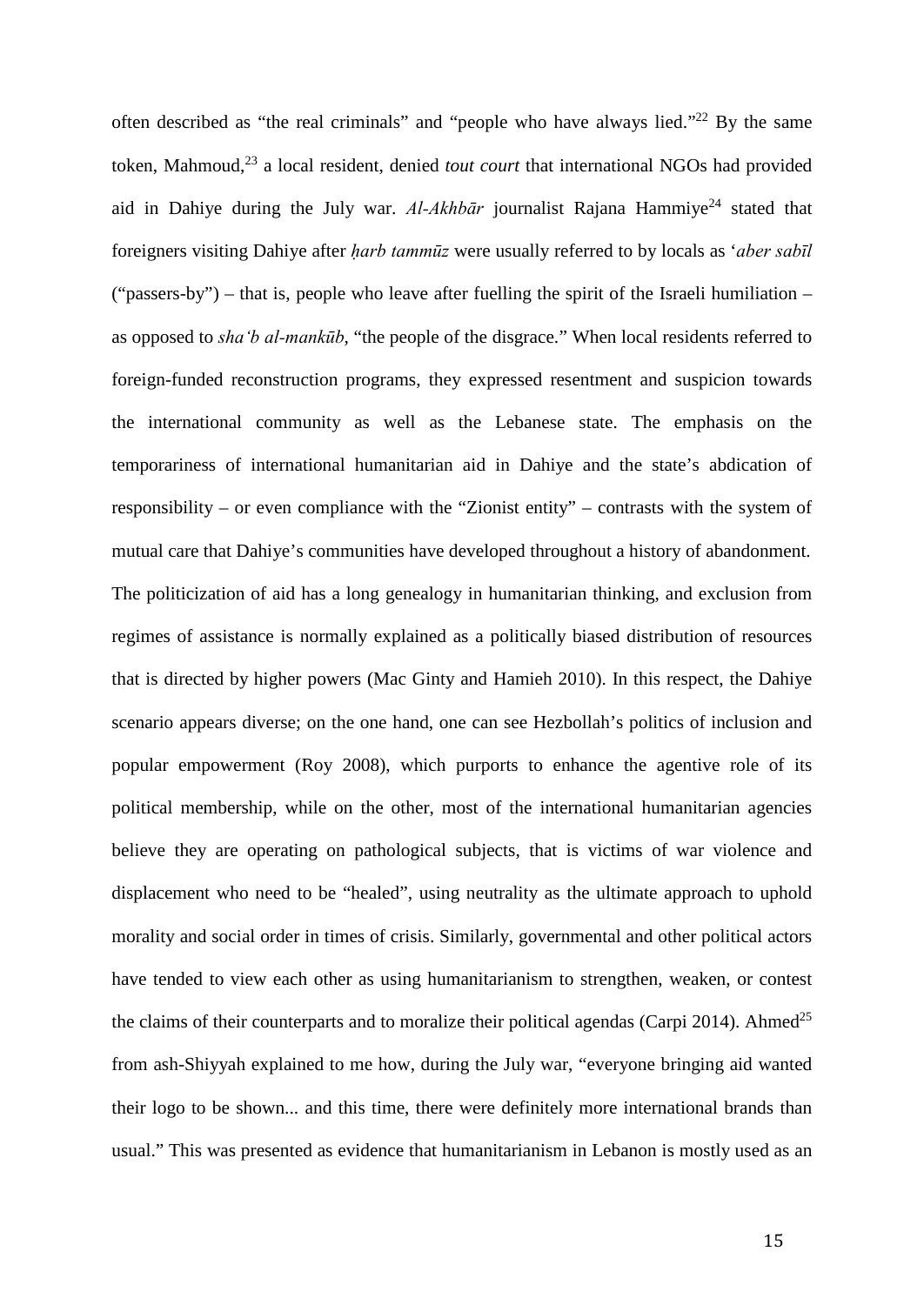often described as "the real criminals" and "people who have always lied."<sup>22</sup> By the same token, Mahmoud,<sup>23</sup> a local resident, denied *tout court* that international NGOs had provided aid in Dahiye during the July war.  $Al-Akhb\bar{a}r$  journalist Rajana Hammiye<sup>24</sup> stated that foreigners visiting Dahiye after *ḥarb tammūz* were usually referred to by locals as '*aber sabīl* ("passers-by") – that is, people who leave after fuelling the spirit of the Israeli humiliation – as opposed to *sha'b al-mankūb*, "the people of the disgrace." When local residents referred to foreign-funded reconstruction programs, they expressed resentment and suspicion towards the international community as well as the Lebanese state. The emphasis on the temporariness of international humanitarian aid in Dahiye and the state's abdication of responsibility – or even compliance with the "Zionist entity" – contrasts with the system of mutual care that Dahiye's communities have developed throughout a history of abandonment. The politicization of aid has a long genealogy in humanitarian thinking, and exclusion from regimes of assistance is normally explained as a politically biased distribution of resources that is directed by higher powers (Mac Ginty and Hamieh 2010). In this respect, the Dahiye scenario appears diverse; on the one hand, one can see Hezbollah's politics of inclusion and popular empowerment (Roy 2008), which purports to enhance the agentive role of its political membership, while on the other, most of the international humanitarian agencies believe they are operating on pathological subjects, that is victims of war violence and displacement who need to be "healed", using neutrality as the ultimate approach to uphold morality and social order in times of crisis. Similarly, governmental and other political actors have tended to view each other as using humanitarianism to strengthen, weaken, or contest the claims of their counterparts and to moralize their political agendas (Carpi 2014). Ahmed<sup>25</sup> from ash-Shiyyah explained to me how, during the July war, "everyone bringing aid wanted their logo to be shown... and this time, there were definitely more international brands than usual." This was presented as evidence that humanitarianism in Lebanon is mostly used as an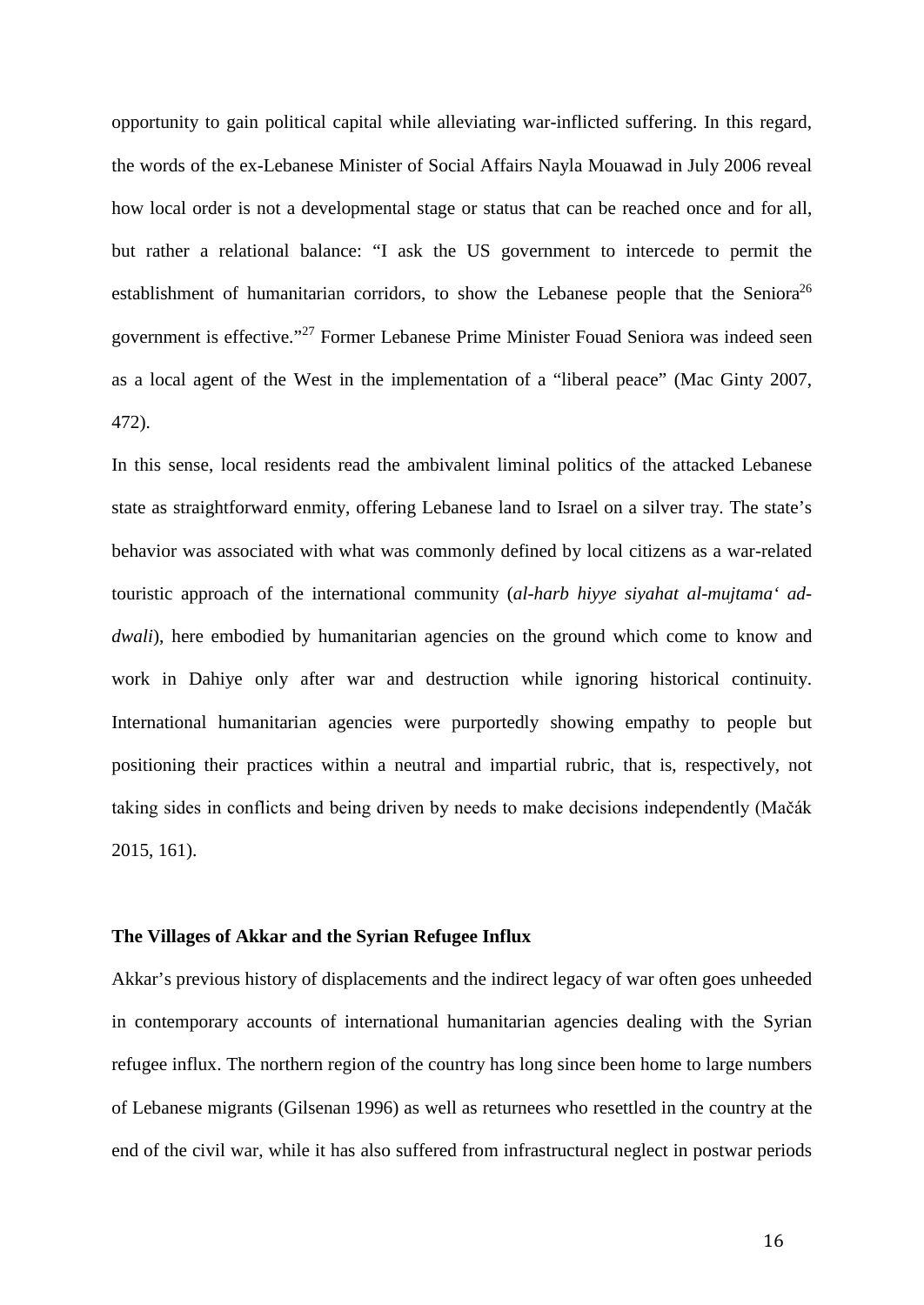opportunity to gain political capital while alleviating war-inflicted suffering. In this regard, the words of the ex-Lebanese Minister of Social Affairs Nayla Mouawad in July 2006 reveal how local order is not a developmental stage or status that can be reached once and for all, but rather a relational balance: "I ask the US government to intercede to permit the establishment of humanitarian corridors, to show the Lebanese people that the Seniora<sup>26</sup> government is effective."<sup>27</sup> Former Lebanese Prime Minister Fouad Seniora was indeed seen as a local agent of the West in the implementation of a "liberal peace" (Mac Ginty 2007, 472).

In this sense, local residents read the ambivalent liminal politics of the attacked Lebanese state as straightforward enmity, offering Lebanese land to Israel on a silver tray. The state's behavior was associated with what was commonly defined by local citizens as a war-related touristic approach of the international community (*al-harb hiyye siyahat al-mujtama' addwali*), here embodied by humanitarian agencies on the ground which come to know and work in Dahiye only after war and destruction while ignoring historical continuity. International humanitarian agencies were purportedly showing empathy to people but positioning their practices within a neutral and impartial rubric, that is, respectively, not taking sides in conflicts and being driven by needs to make decisions independently (Mačák 2015, 161).

# **The Villages of Akkar and the Syrian Refugee Influx**

Akkar's previous history of displacements and the indirect legacy of war often goes unheeded in contemporary accounts of international humanitarian agencies dealing with the Syrian refugee influx. The northern region of the country has long since been home to large numbers of Lebanese migrants (Gilsenan 1996) as well as returnees who resettled in the country at the end of the civil war, while it has also suffered from infrastructural neglect in postwar periods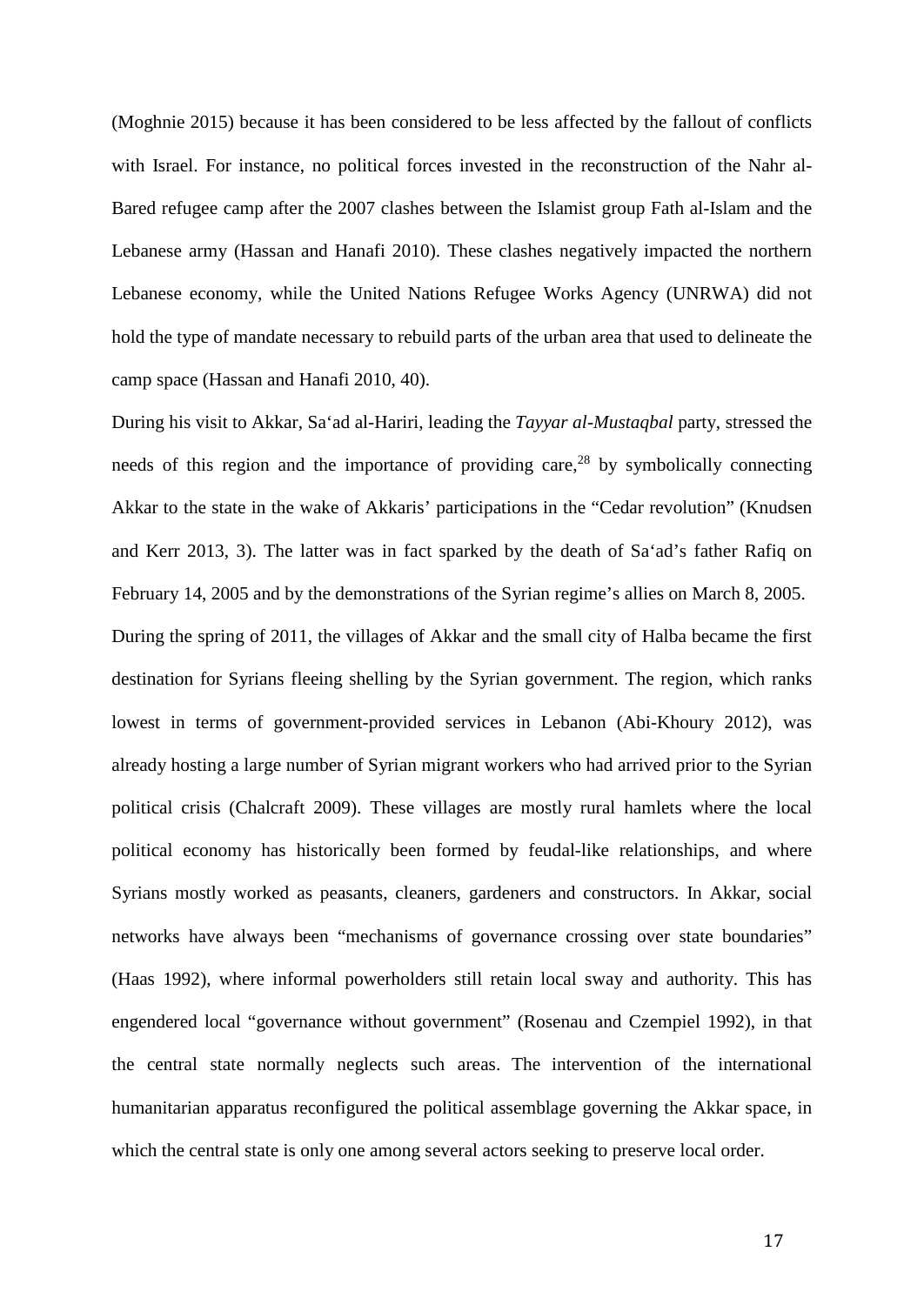(Moghnie 2015) because it has been considered to be less affected by the fallout of conflicts with Israel. For instance, no political forces invested in the reconstruction of the Nahr al-Bared refugee camp after the 2007 clashes between the Islamist group Fath al-Islam and the Lebanese army (Hassan and Hanafi 2010). These clashes negatively impacted the northern Lebanese economy, while the United Nations Refugee Works Agency (UNRWA) did not hold the type of mandate necessary to rebuild parts of the urban area that used to delineate the camp space (Hassan and Hanafi 2010, 40).

During his visit to Akkar, Sa'ad al-Hariri, leading the *Tayyar al-Mustaqbal* party, stressed the needs of this region and the importance of providing care,  $28$  by symbolically connecting Akkar to the state in the wake of Akkaris' participations in the "Cedar revolution" (Knudsen and Kerr 2013, 3). The latter was in fact sparked by the death of Sa'ad's father Rafiq on February 14, 2005 and by the demonstrations of the Syrian regime's allies on March 8, 2005. During the spring of 2011, the villages of Akkar and the small city of Halba became the first destination for Syrians fleeing shelling by the Syrian government. The region, which ranks lowest in terms of government-provided services in Lebanon (Abi-Khoury 2012), was already hosting a large number of Syrian migrant workers who had arrived prior to the Syrian political crisis (Chalcraft 2009). These villages are mostly rural hamlets where the local political economy has historically been formed by feudal-like relationships, and where Syrians mostly worked as peasants, cleaners, gardeners and constructors. In Akkar, social networks have always been "mechanisms of governance crossing over state boundaries" (Haas 1992), where informal powerholders still retain local sway and authority. This has engendered local "governance without government" (Rosenau and Czempiel 1992), in that the central state normally neglects such areas. The intervention of the international humanitarian apparatus reconfigured the political assemblage governing the Akkar space, in which the central state is only one among several actors seeking to preserve local order.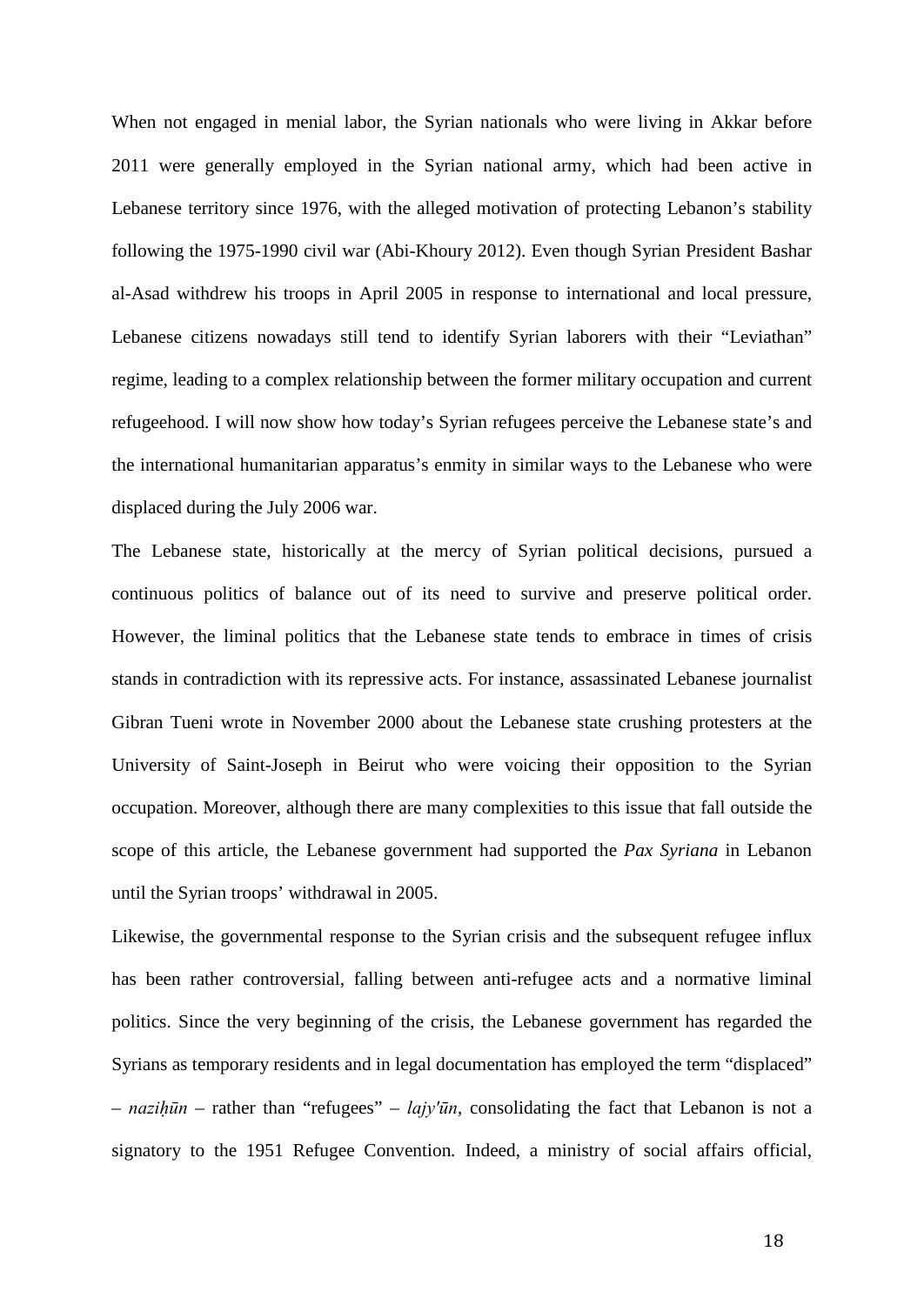When not engaged in menial labor, the Syrian nationals who were living in Akkar before 2011 were generally employed in the Syrian national army, which had been active in Lebanese territory since 1976, with the alleged motivation of protecting Lebanon's stability following the 1975-1990 civil war (Abi-Khoury 2012). Even though Syrian President Bashar al-Asad withdrew his troops in April 2005 in response to international and local pressure, Lebanese citizens nowadays still tend to identify Syrian laborers with their "Leviathan" regime, leading to a complex relationship between the former military occupation and current refugeehood. I will now show how today's Syrian refugees perceive the Lebanese state's and the international humanitarian apparatus's enmity in similar ways to the Lebanese who were displaced during the July 2006 war.

The Lebanese state, historically at the mercy of Syrian political decisions, pursued a continuous politics of balance out of its need to survive and preserve political order. However, the liminal politics that the Lebanese state tends to embrace in times of crisis stands in contradiction with its repressive acts. For instance, assassinated Lebanese journalist Gibran Tueni wrote in November 2000 about the Lebanese state crushing protesters at the University of Saint-Joseph in Beirut who were voicing their opposition to the Syrian occupation. Moreover, although there are many complexities to this issue that fall outside the scope of this article, the Lebanese government had supported the *Pax Syriana* in Lebanon until the Syrian troops' withdrawal in 2005.

Likewise, the governmental response to the Syrian crisis and the subsequent refugee influx has been rather controversial, falling between anti-refugee acts and a normative liminal politics. Since the very beginning of the crisis, the Lebanese government has regarded the Syrians as temporary residents and in legal documentation has employed the term "displaced" – *naziḥūn* – rather than "refugees" – *lajy'ūn*, consolidating the fact that Lebanon is not a signatory to the 1951 Refugee Convention*.* Indeed, a ministry of social affairs official,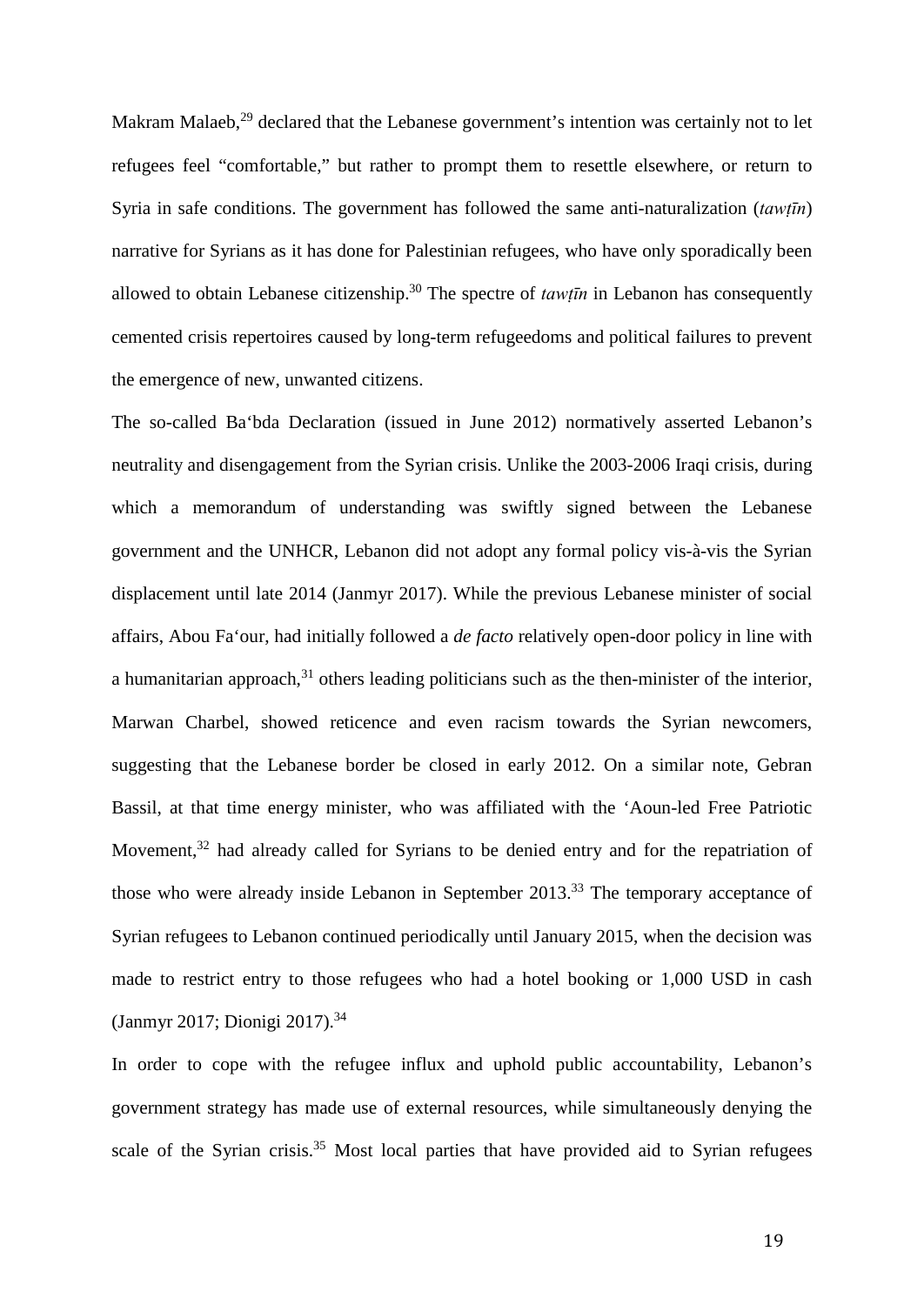Makram Malaeb,<sup>29</sup> declared that the Lebanese government's intention was certainly not to let refugees feel "comfortable," but rather to prompt them to resettle elsewhere, or return to Syria in safe conditions. The government has followed the same anti-naturalization (*tawṭīn*) narrative for Syrians as it has done for Palestinian refugees, who have only sporadically been allowed to obtain Lebanese citizenship.<sup>30</sup> The spectre of *tawtūn* in Lebanon has consequently cemented crisis repertoires caused by long-term refugeedoms and political failures to prevent the emergence of new, unwanted citizens.

The so-called Ba'bda Declaration (issued in June 2012) normatively asserted Lebanon's neutrality and disengagement from the Syrian crisis. Unlike the 2003-2006 Iraqi crisis, during which a memorandum of understanding was swiftly signed between the Lebanese government and the UNHCR, Lebanon did not adopt any formal policy vis-à-vis the Syrian displacement until late 2014 (Janmyr 2017). While the previous Lebanese minister of social affairs, Abou Fa'our, had initially followed a *de facto* relatively open-door policy in line with a humanitarian approach, $31$  others leading politicians such as the then-minister of the interior, Marwan Charbel, showed reticence and even racism towards the Syrian newcomers, suggesting that the Lebanese border be closed in early 2012. On a similar note, Gebran Bassil, at that time energy minister, who was affiliated with the 'Aoun-led Free Patriotic Movement,<sup>32</sup> had already called for Syrians to be denied entry and for the repatriation of those who were already inside Lebanon in September 2013.<sup>33</sup> The temporary acceptance of Syrian refugees to Lebanon continued periodically until January 2015, when the decision was made to restrict entry to those refugees who had a hotel booking or 1,000 USD in cash (Janmyr 2017; Dionigi 2017).<sup>34</sup>

In order to cope with the refugee influx and uphold public accountability, Lebanon's government strategy has made use of external resources, while simultaneously denying the scale of the Syrian crisis.<sup>35</sup> Most local parties that have provided aid to Syrian refugees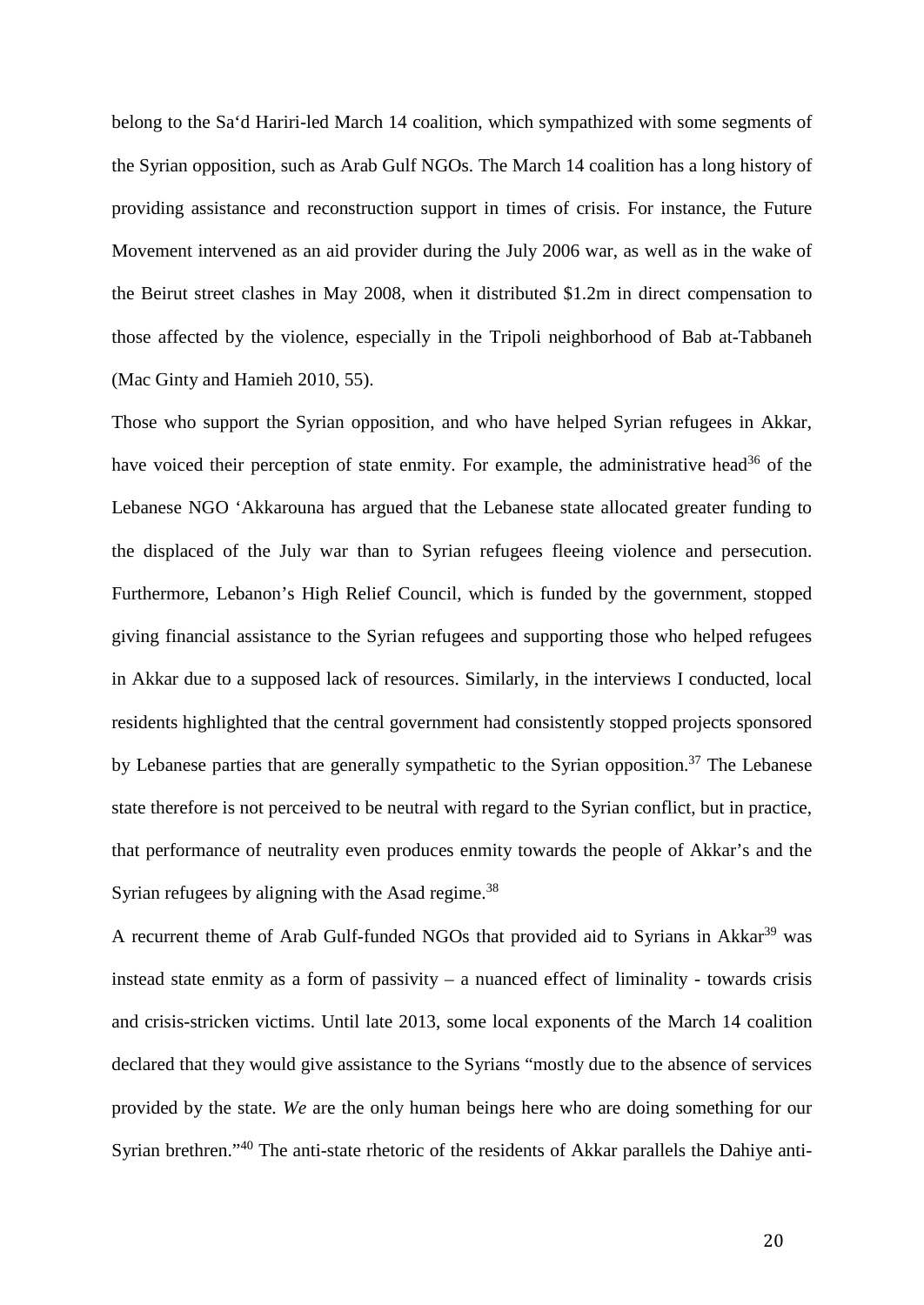belong to the Sa'd Hariri-led March 14 coalition, which sympathized with some segments of the Syrian opposition, such as Arab Gulf NGOs. The March 14 coalition has a long history of providing assistance and reconstruction support in times of crisis. For instance, the Future Movement intervened as an aid provider during the July 2006 war, as well as in the wake of the Beirut street clashes in May 2008, when it distributed \$1.2m in direct compensation to those affected by the violence, especially in the Tripoli neighborhood of Bab at-Tabbaneh (Mac Ginty and Hamieh 2010, 55).

Those who support the Syrian opposition, and who have helped Syrian refugees in Akkar, have voiced their perception of state enmity. For example, the administrative head<sup>36</sup> of the Lebanese NGO 'Akkarouna has argued that the Lebanese state allocated greater funding to the displaced of the July war than to Syrian refugees fleeing violence and persecution. Furthermore, Lebanon's High Relief Council, which is funded by the government, stopped giving financial assistance to the Syrian refugees and supporting those who helped refugees in Akkar due to a supposed lack of resources. Similarly, in the interviews I conducted, local residents highlighted that the central government had consistently stopped projects sponsored by Lebanese parties that are generally sympathetic to the Syrian opposition.<sup>37</sup> The Lebanese state therefore is not perceived to be neutral with regard to the Syrian conflict, but in practice, that performance of neutrality even produces enmity towards the people of Akkar's and the Syrian refugees by aligning with the Asad regime.<sup>38</sup>

A recurrent theme of Arab Gulf-funded NGOs that provided aid to Syrians in Akkar<sup>39</sup> was instead state enmity as a form of passivity – a nuanced effect of liminality - towards crisis and crisis-stricken victims. Until late 2013, some local exponents of the March 14 coalition declared that they would give assistance to the Syrians "mostly due to the absence of services provided by the state. *We* are the only human beings here who are doing something for our Syrian brethren."<sup>40</sup> The anti-state rhetoric of the residents of Akkar parallels the Dahiye anti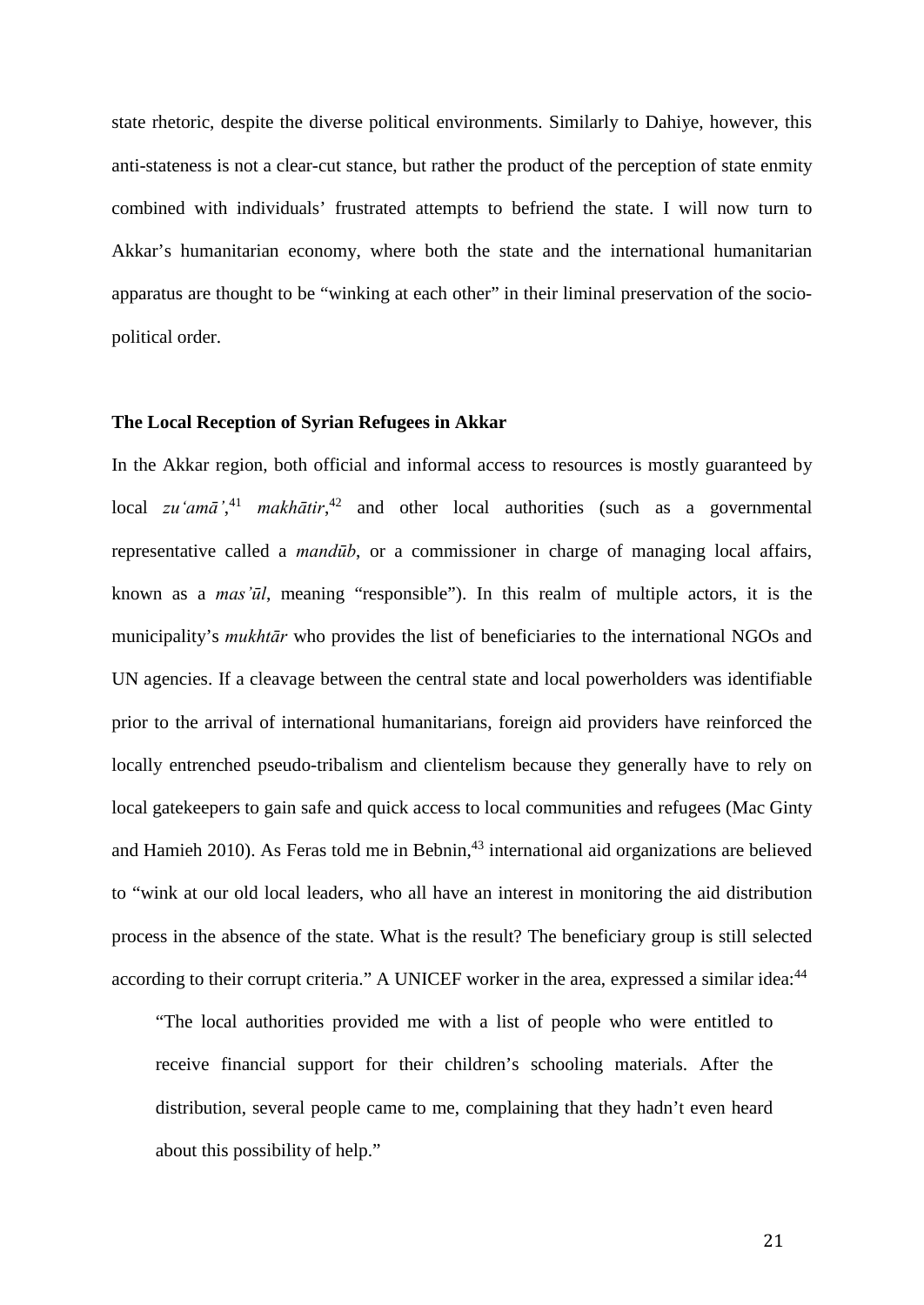state rhetoric, despite the diverse political environments. Similarly to Dahiye, however, this anti-stateness is not a clear-cut stance, but rather the product of the perception of state enmity combined with individuals' frustrated attempts to befriend the state. I will now turn to Akkar's humanitarian economy, where both the state and the international humanitarian apparatus are thought to be "winking at each other" in their liminal preservation of the sociopolitical order.

# **The Local Reception of Syrian Refugees in Akkar**

In the Akkar region, both official and informal access to resources is mostly guaranteed by local *zu'amā*<sup>',41</sup> *makhātir*<sup>42</sup> and other local authorities (such as a governmental representative called a *mandūb*, or a commissioner in charge of managing local affairs, known as a *mas'ūl*, meaning "responsible"). In this realm of multiple actors, it is the municipality's *mukhtār* who provides the list of beneficiaries to the international NGOs and UN agencies. If a cleavage between the central state and local powerholders was identifiable prior to the arrival of international humanitarians, foreign aid providers have reinforced the locally entrenched pseudo-tribalism and clientelism because they generally have to rely on local gatekeepers to gain safe and quick access to local communities and refugees (Mac Ginty and Hamieh 2010). As Feras told me in Bebnin,<sup>43</sup> international aid organizations are believed to "wink at our old local leaders, who all have an interest in monitoring the aid distribution process in the absence of the state. What is the result? The beneficiary group is still selected according to their corrupt criteria." A UNICEF worker in the area, expressed a similar idea:<sup>44</sup>

"The local authorities provided me with a list of people who were entitled to receive financial support for their children's schooling materials. After the distribution, several people came to me, complaining that they hadn't even heard about this possibility of help."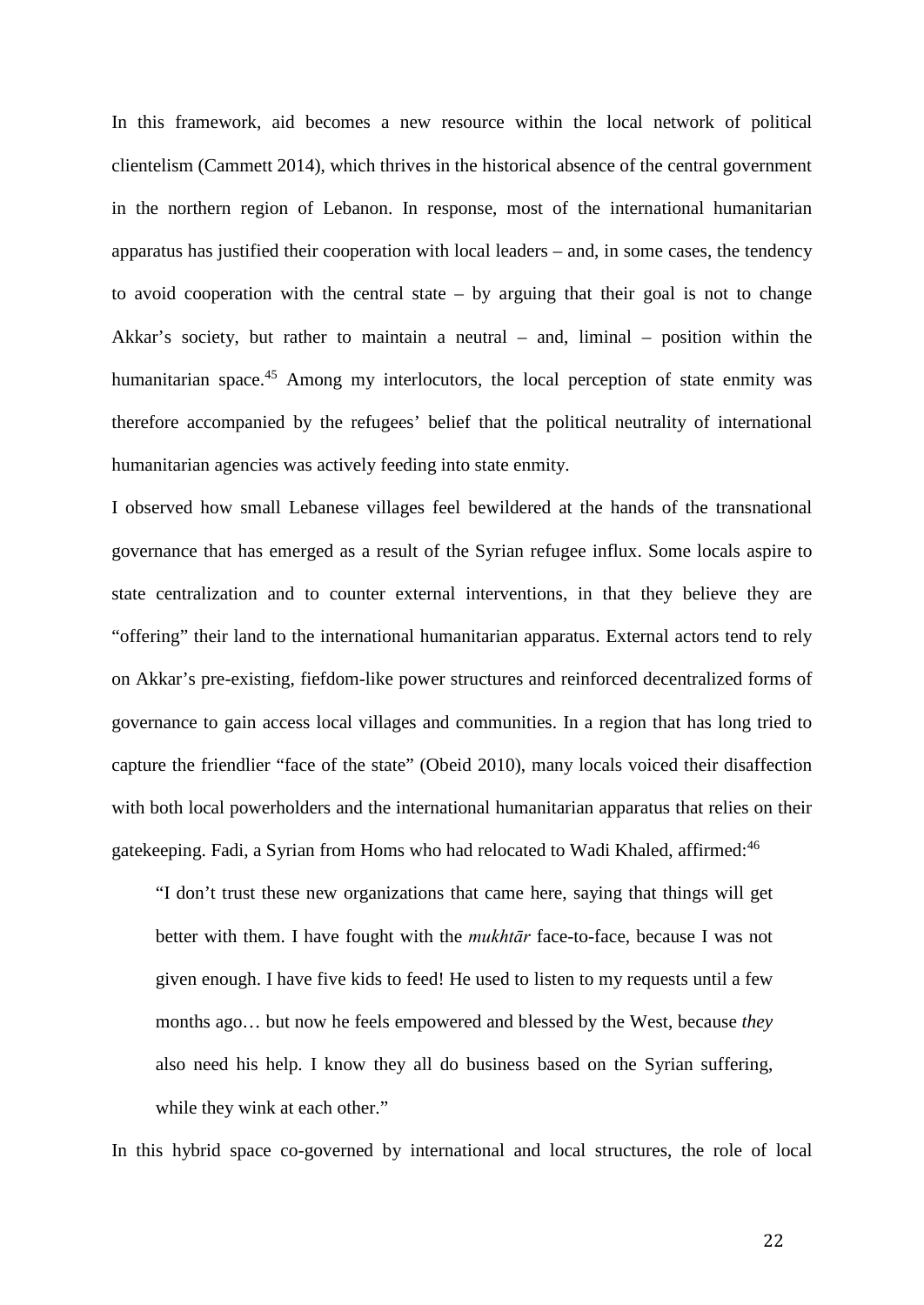In this framework, aid becomes a new resource within the local network of political clientelism (Cammett 2014), which thrives in the historical absence of the central government in the northern region of Lebanon. In response, most of the international humanitarian apparatus has justified their cooperation with local leaders – and, in some cases, the tendency to avoid cooperation with the central state – by arguing that their goal is not to change Akkar's society, but rather to maintain a neutral – and, liminal – position within the humanitarian space.<sup>45</sup> Among my interlocutors, the local perception of state enmity was therefore accompanied by the refugees' belief that the political neutrality of international humanitarian agencies was actively feeding into state enmity.

I observed how small Lebanese villages feel bewildered at the hands of the transnational governance that has emerged as a result of the Syrian refugee influx. Some locals aspire to state centralization and to counter external interventions, in that they believe they are "offering" their land to the international humanitarian apparatus. External actors tend to rely on Akkar's pre-existing, fiefdom-like power structures and reinforced decentralized forms of governance to gain access local villages and communities. In a region that has long tried to capture the friendlier "face of the state" (Obeid 2010), many locals voiced their disaffection with both local powerholders and the international humanitarian apparatus that relies on their gatekeeping. Fadi, a Syrian from Homs who had relocated to Wadi Khaled, affirmed:<sup>46</sup>

"I don't trust these new organizations that came here, saying that things will get better with them. I have fought with the *mukhtār* face-to-face, because I was not given enough. I have five kids to feed! He used to listen to my requests until a few months ago… but now he feels empowered and blessed by the West, because *they* also need his help. I know they all do business based on the Syrian suffering, while they wink at each other."

In this hybrid space co-governed by international and local structures, the role of local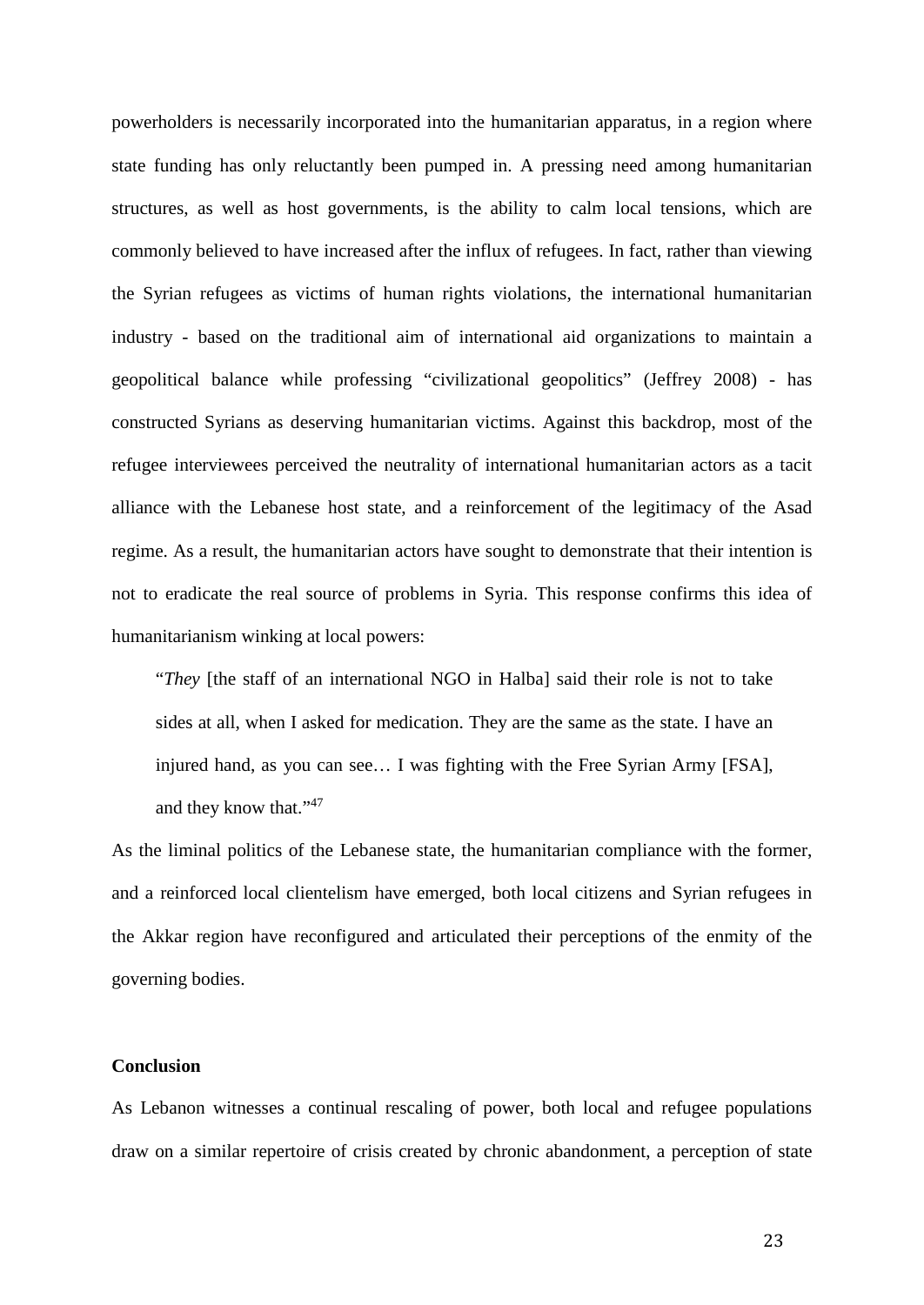powerholders is necessarily incorporated into the humanitarian apparatus, in a region where state funding has only reluctantly been pumped in. A pressing need among humanitarian structures, as well as host governments, is the ability to calm local tensions, which are commonly believed to have increased after the influx of refugees. In fact, rather than viewing the Syrian refugees as victims of human rights violations, the international humanitarian industry - based on the traditional aim of international aid organizations to maintain a geopolitical balance while professing "civilizational geopolitics" (Jeffrey 2008) - has constructed Syrians as deserving humanitarian victims. Against this backdrop, most of the refugee interviewees perceived the neutrality of international humanitarian actors as a tacit alliance with the Lebanese host state, and a reinforcement of the legitimacy of the Asad regime. As a result, the humanitarian actors have sought to demonstrate that their intention is not to eradicate the real source of problems in Syria. This response confirms this idea of humanitarianism winking at local powers:

"*They* [the staff of an international NGO in Halba] said their role is not to take sides at all, when I asked for medication. They are the same as the state. I have an injured hand, as you can see… I was fighting with the Free Syrian Army [FSA], and they know that."<sup>47</sup>

As the liminal politics of the Lebanese state, the humanitarian compliance with the former, and a reinforced local clientelism have emerged, both local citizens and Syrian refugees in the Akkar region have reconfigured and articulated their perceptions of the enmity of the governing bodies.

# **Conclusion**

As Lebanon witnesses a continual rescaling of power, both local and refugee populations draw on a similar repertoire of crisis created by chronic abandonment, a perception of state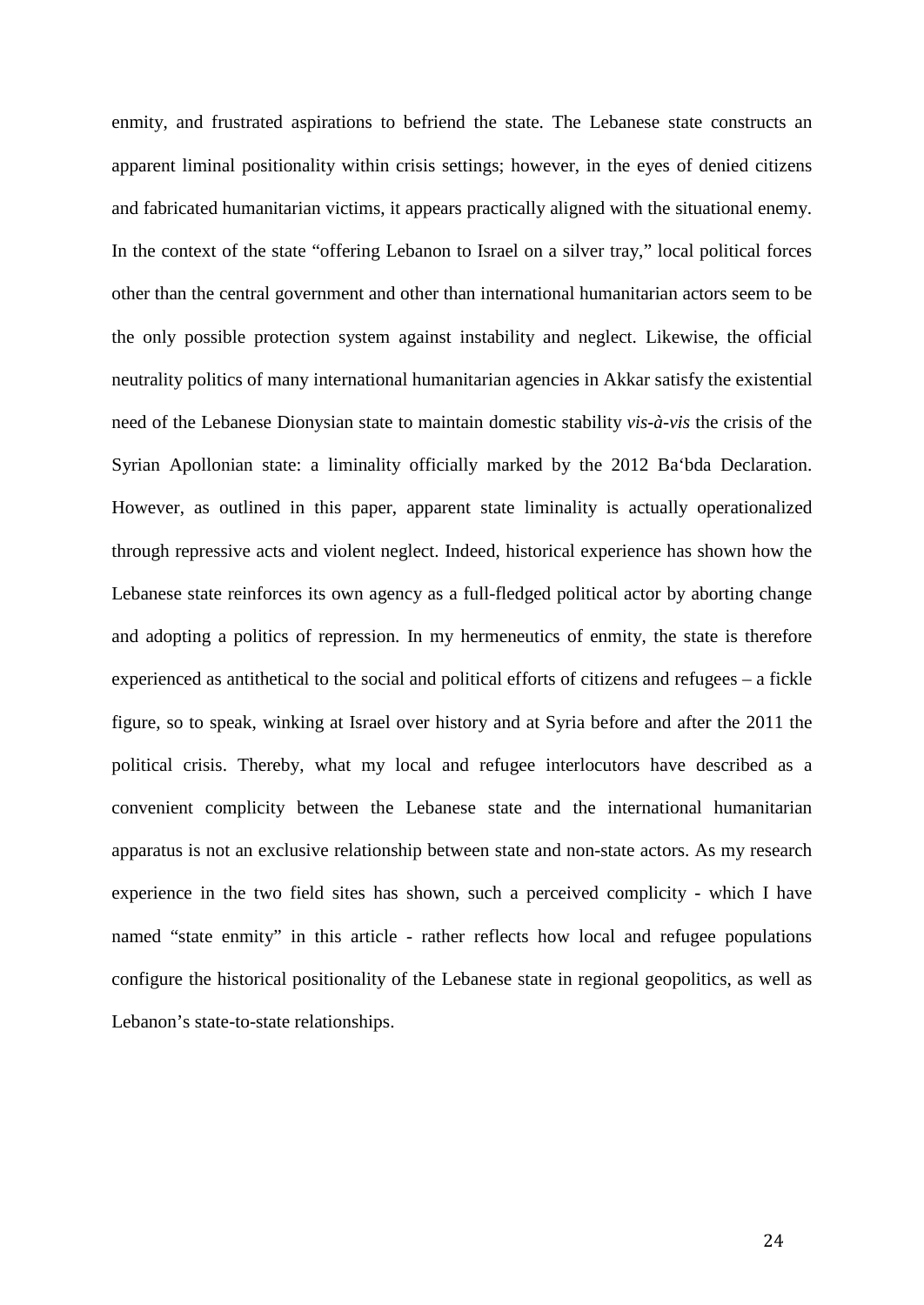enmity, and frustrated aspirations to befriend the state. The Lebanese state constructs an apparent liminal positionality within crisis settings; however, in the eyes of denied citizens and fabricated humanitarian victims, it appears practically aligned with the situational enemy. In the context of the state "offering Lebanon to Israel on a silver tray," local political forces other than the central government and other than international humanitarian actors seem to be the only possible protection system against instability and neglect. Likewise, the official neutrality politics of many international humanitarian agencies in Akkar satisfy the existential need of the Lebanese Dionysian state to maintain domestic stability *vis-à-vis* the crisis of the Syrian Apollonian state: a liminality officially marked by the 2012 Ba'bda Declaration. However, as outlined in this paper, apparent state liminality is actually operationalized through repressive acts and violent neglect. Indeed, historical experience has shown how the Lebanese state reinforces its own agency as a full-fledged political actor by aborting change and adopting a politics of repression. In my hermeneutics of enmity, the state is therefore experienced as antithetical to the social and political efforts of citizens and refugees – a fickle figure, so to speak, winking at Israel over history and at Syria before and after the 2011 the political crisis. Thereby, what my local and refugee interlocutors have described as a convenient complicity between the Lebanese state and the international humanitarian apparatus is not an exclusive relationship between state and non-state actors. As my research experience in the two field sites has shown, such a perceived complicity - which I have named "state enmity" in this article - rather reflects how local and refugee populations configure the historical positionality of the Lebanese state in regional geopolitics, as well as Lebanon's state-to-state relationships.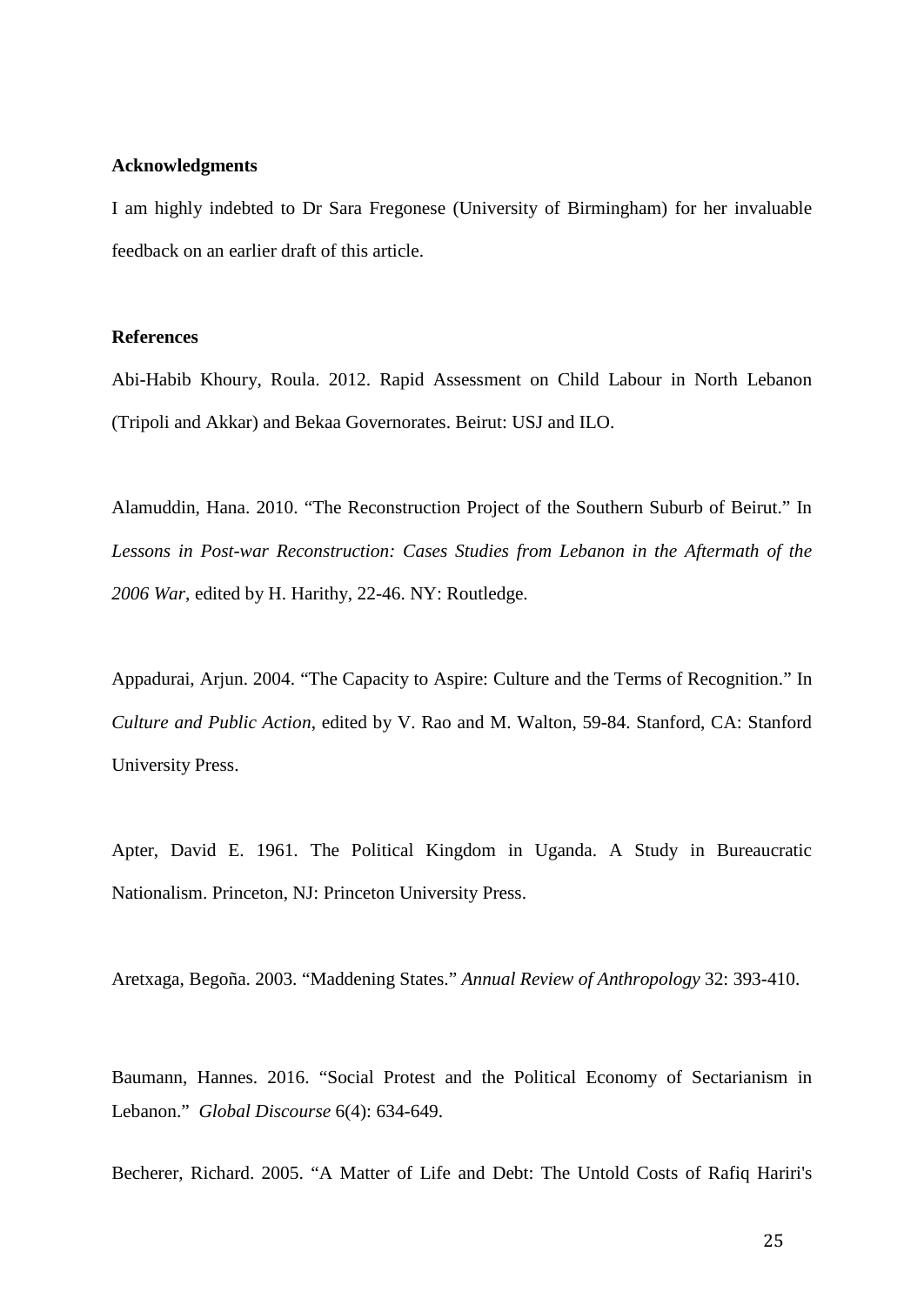#### **Acknowledgments**

I am highly indebted to Dr Sara Fregonese (University of Birmingham) for her invaluable feedback on an earlier draft of this article.

# **References**

Abi-Habib Khoury, Roula. 2012. Rapid Assessment on Child Labour in North Lebanon (Tripoli and Akkar) and Bekaa Governorates. Beirut: USJ and ILO.

Alamuddin, Hana. 2010. "The Reconstruction Project of the Southern Suburb of Beirut." In *Lessons in Post-war Reconstruction: Cases Studies from Lebanon in the Aftermath of the 2006 War*, edited by H. Harithy, 22-46. NY: Routledge.

Appadurai, Arjun. 2004. "The Capacity to Aspire: Culture and the Terms of Recognition." In *Culture and Public Action*, edited by V. Rao and M. Walton, 59-84. Stanford, CA: Stanford University Press.

Apter, David E. 1961. The Political Kingdom in Uganda. A Study in Bureaucratic Nationalism. Princeton, NJ: Princeton University Press.

Aretxaga, Begoña. 2003. "Maddening States." *Annual Review of Anthropology* 32: 393-410.

Baumann, Hannes. 2016. "Social Protest and the Political Economy of Sectarianism in Lebanon." *Global Discourse* 6(4): 634-649.

Becherer, Richard. 2005. "A Matter of Life and Debt: The Untold Costs of Rafiq Hariri's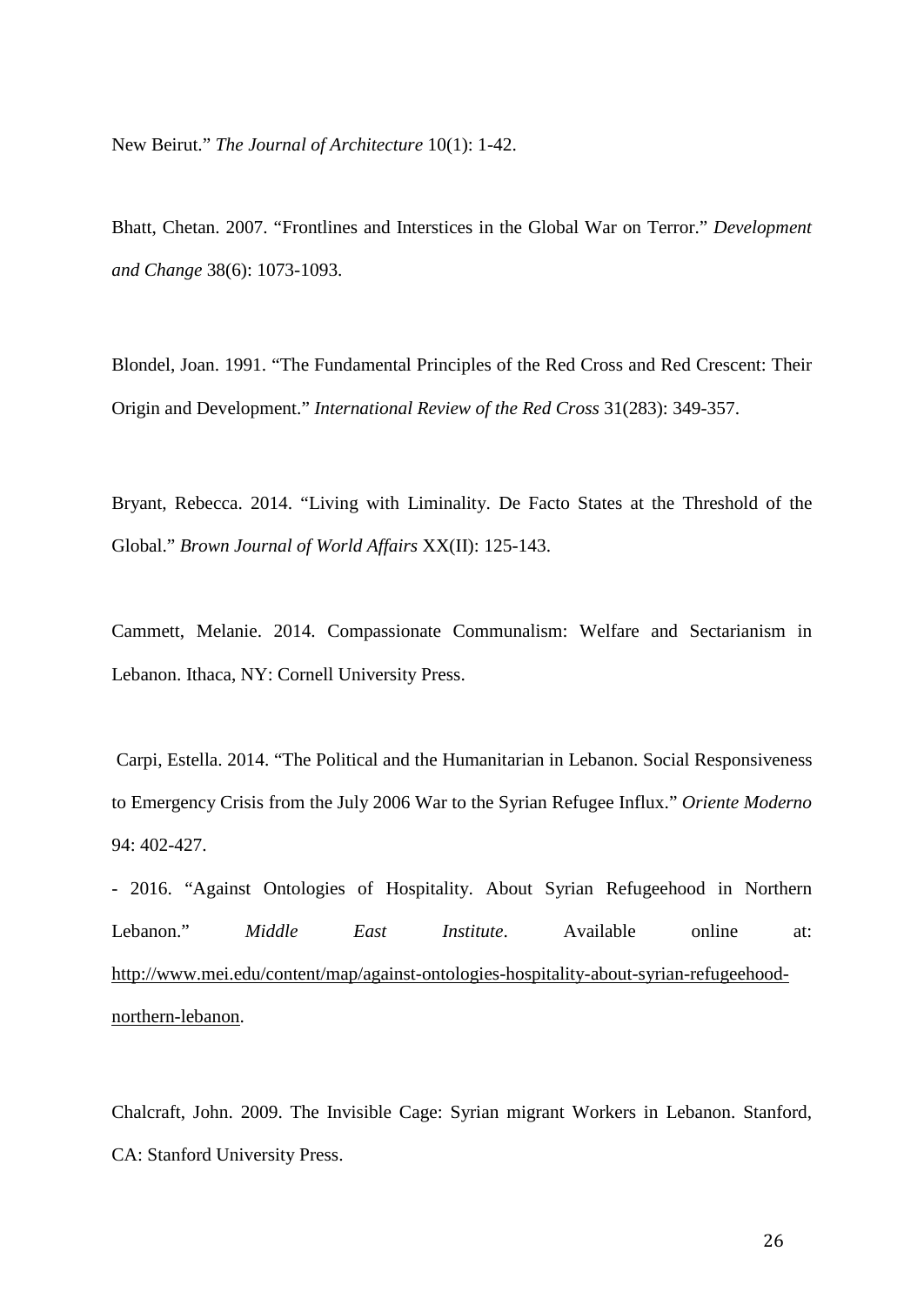New Beirut." *The Journal of Architecture* 10(1): 1-42.

Bhatt, Chetan. 2007. "Frontlines and Interstices in the Global War on Terror." *Development and Change* 38(6): 1073-1093.

Blondel, Joan. 1991. "The Fundamental Principles of the Red Cross and Red Crescent: Their Origin and Development." *International Review of the Red Cross* 31(283): 349-357.

Bryant, Rebecca. 2014. "Living with Liminality. De Facto States at the Threshold of the Global." *Brown Journal of World Affairs* XX(II): 125-143.

Cammett, Melanie. 2014. Compassionate Communalism: Welfare and Sectarianism in Lebanon. Ithaca, NY: Cornell University Press.

 Carpi, Estella. 2014. "The Political and the Humanitarian in Lebanon. Social Responsiveness to Emergency Crisis from the July 2006 War to the Syrian Refugee Influx." *Oriente Moderno* 94: 402-427.

- 2016. "Against Ontologies of Hospitality. About Syrian Refugeehood in Northern Lebanon." *Middle East Institute*. Available online at: [http://www.mei.edu/content/map/against-ontologies-hospitality-about-syrian-refugeehood](http://www.mei.edu/content/map/against-ontologies-hospitality-about-syrian-refugeehood-northern-lebanon)[northern-lebanon.](http://www.mei.edu/content/map/against-ontologies-hospitality-about-syrian-refugeehood-northern-lebanon)

Chalcraft, John. 2009. The Invisible Cage: Syrian migrant Workers in Lebanon. Stanford, CA: Stanford University Press.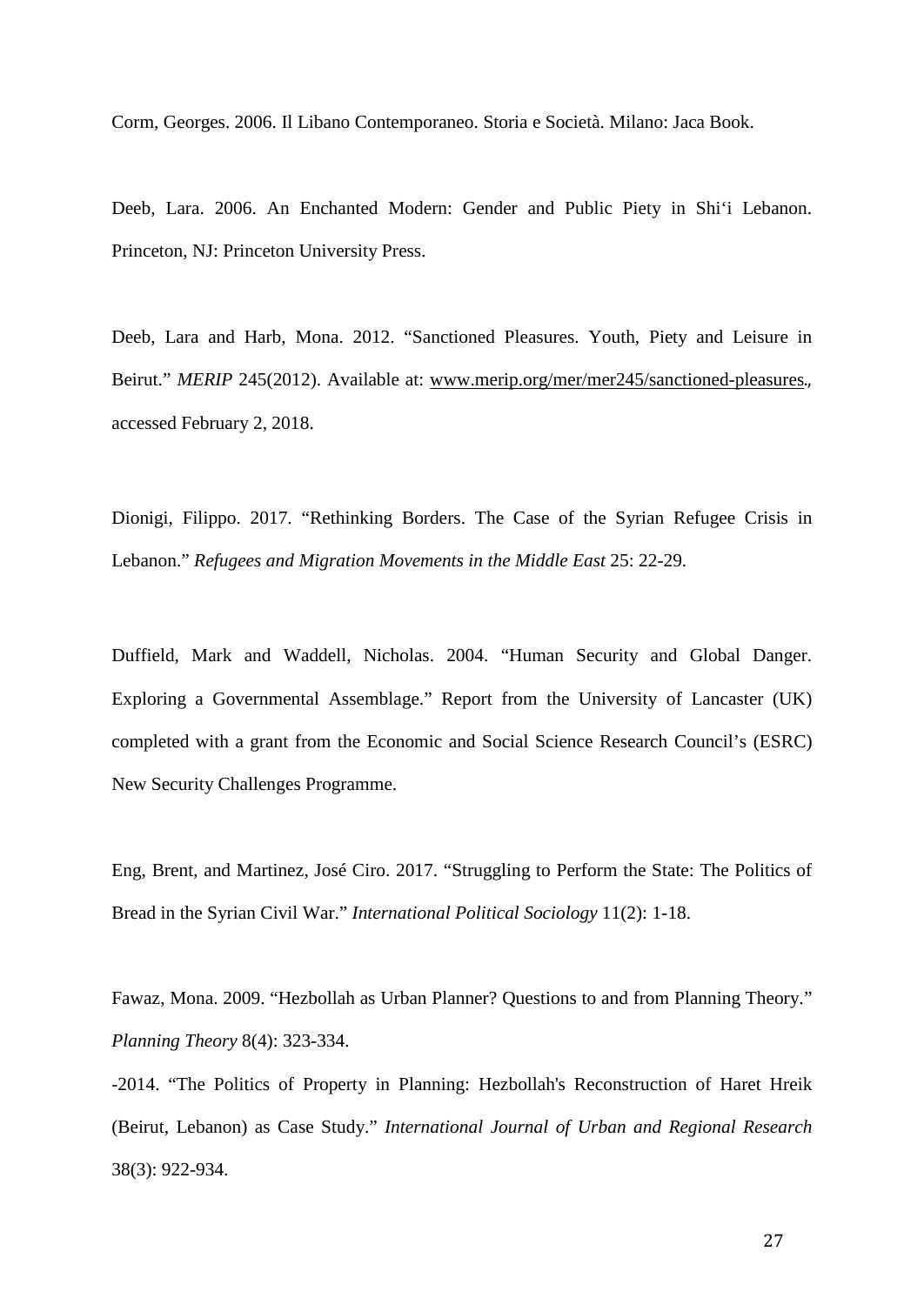Corm, Georges. 2006. Il Libano Contemporaneo. Storia e Società. Milano: Jaca Book.

Deeb, Lara. 2006. An Enchanted Modern: Gender and Public Piety in Shi'i Lebanon. Princeton, NJ: Princeton University Press.

Deeb, Lara and Harb, Mona. 2012. "Sanctioned Pleasures. Youth, Piety and Leisure in Beirut." *MERIP* 245(2012). Available at: [www.merip.org/mer/mer245/sanctioned-pleasures](http://www.merip.org/mer/mer245/sanctioned-pleasures)., accessed February 2, 2018.

Dionigi, Filippo. 2017. "Rethinking Borders. The Case of the Syrian Refugee Crisis in Lebanon." *Refugees and Migration Movements in the Middle East* 25: 22-29.

Duffield, Mark and Waddell, Nicholas. 2004. "Human Security and Global Danger. Exploring a Governmental Assemblage." Report from the University of Lancaster (UK) completed with a grant from the Economic and Social Science Research Council's (ESRC) New Security Challenges Programme.

Eng, Brent, and Martinez, José Ciro. 2017. "Struggling to Perform the State: The Politics of Bread in the Syrian Civil War." *International Political Sociology* 11(2): 1-18.

Fawaz, Mona. 2009. "Hezbollah as Urban Planner? Questions to and from Planning Theory." *Planning Theory* 8(4): 323-334.

-2014. "The Politics of Property in Planning: Hezbollah's Reconstruction of Haret Hreik (Beirut, Lebanon) as Case Study." *International Journal of Urban and Regional Research*  38(3): 922-934.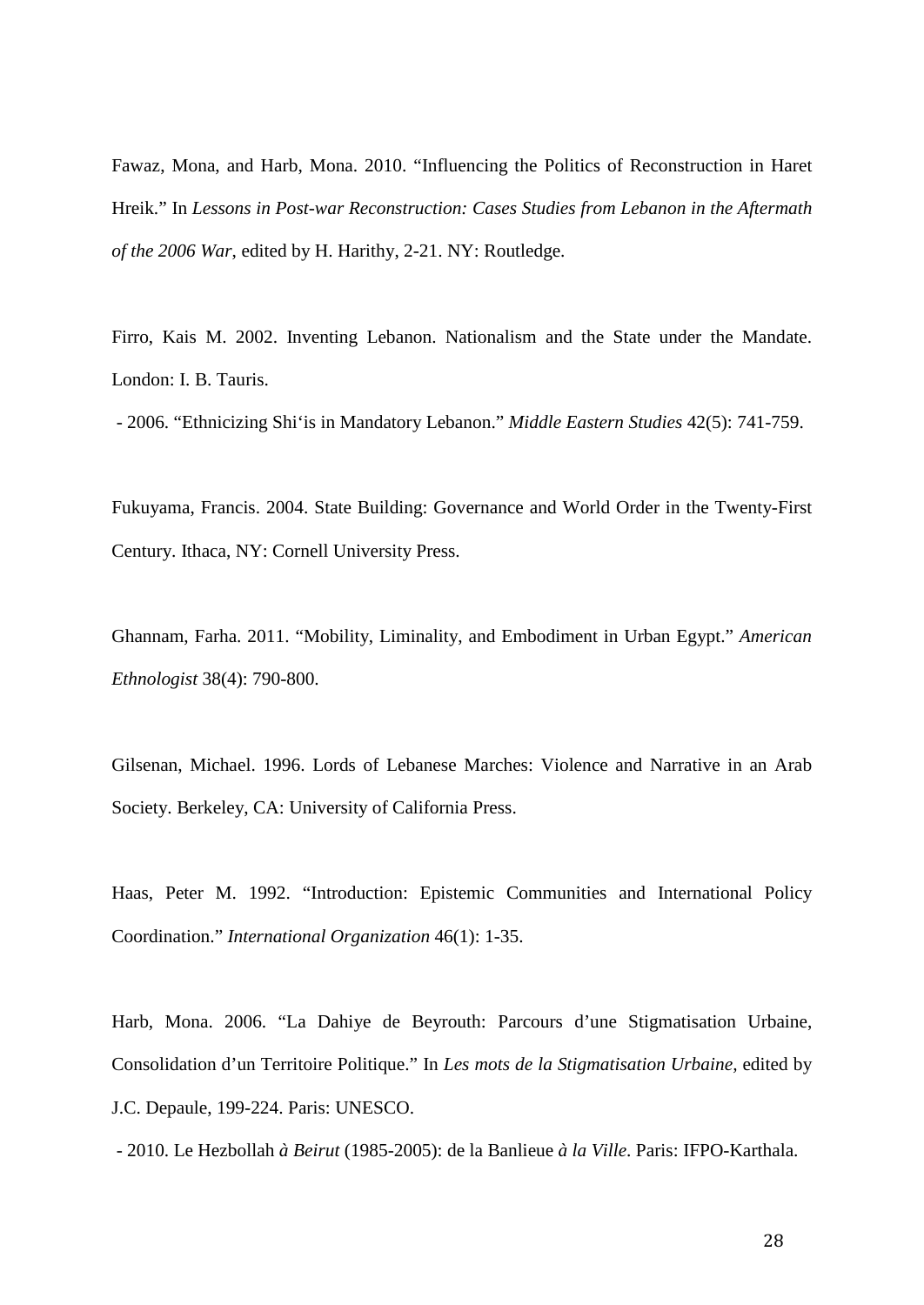Fawaz, Mona, and Harb, Mona. 2010. "Influencing the Politics of Reconstruction in Haret Hreik." In *Lessons in Post-war Reconstruction: Cases Studies from Lebanon in the Aftermath of the 2006 War*, edited by H. Harithy, 2-21. NY: Routledge.

Firro, Kais M. 2002. Inventing Lebanon. Nationalism and the State under the Mandate. London: I. B. Tauris.

- 2006. "Ethnicizing Shi'is in Mandatory Lebanon." *Middle Eastern Studies* 42(5): 741-759.

Fukuyama, Francis. 2004. State Building: Governance and World Order in the Twenty-First Century. Ithaca, NY: Cornell University Press.

Ghannam, Farha. 2011. "Mobility, Liminality, and Embodiment in Urban Egypt." *American Ethnologist* 38(4): 790-800.

Gilsenan, Michael. 1996. Lords of Lebanese Marches: Violence and Narrative in an Arab Society. Berkeley, CA: University of California Press.

Haas, Peter M. 1992. "Introduction: Epistemic Communities and International Policy Coordination." *International Organization* 46(1): 1-35.

Harb, Mona. 2006. "La Dahiye de Beyrouth: Parcours d'une Stigmatisation Urbaine, Consolidation d'un Territoire Politique." In *Les mots de la Stigmatisation Urbaine,* edited by J.C. Depaule, 199-224. Paris: UNESCO.

- 2010. Le Hezbollah *à Beirut* (1985-2005): de la Banlieue *à la Ville*. Paris: IFPO-Karthala.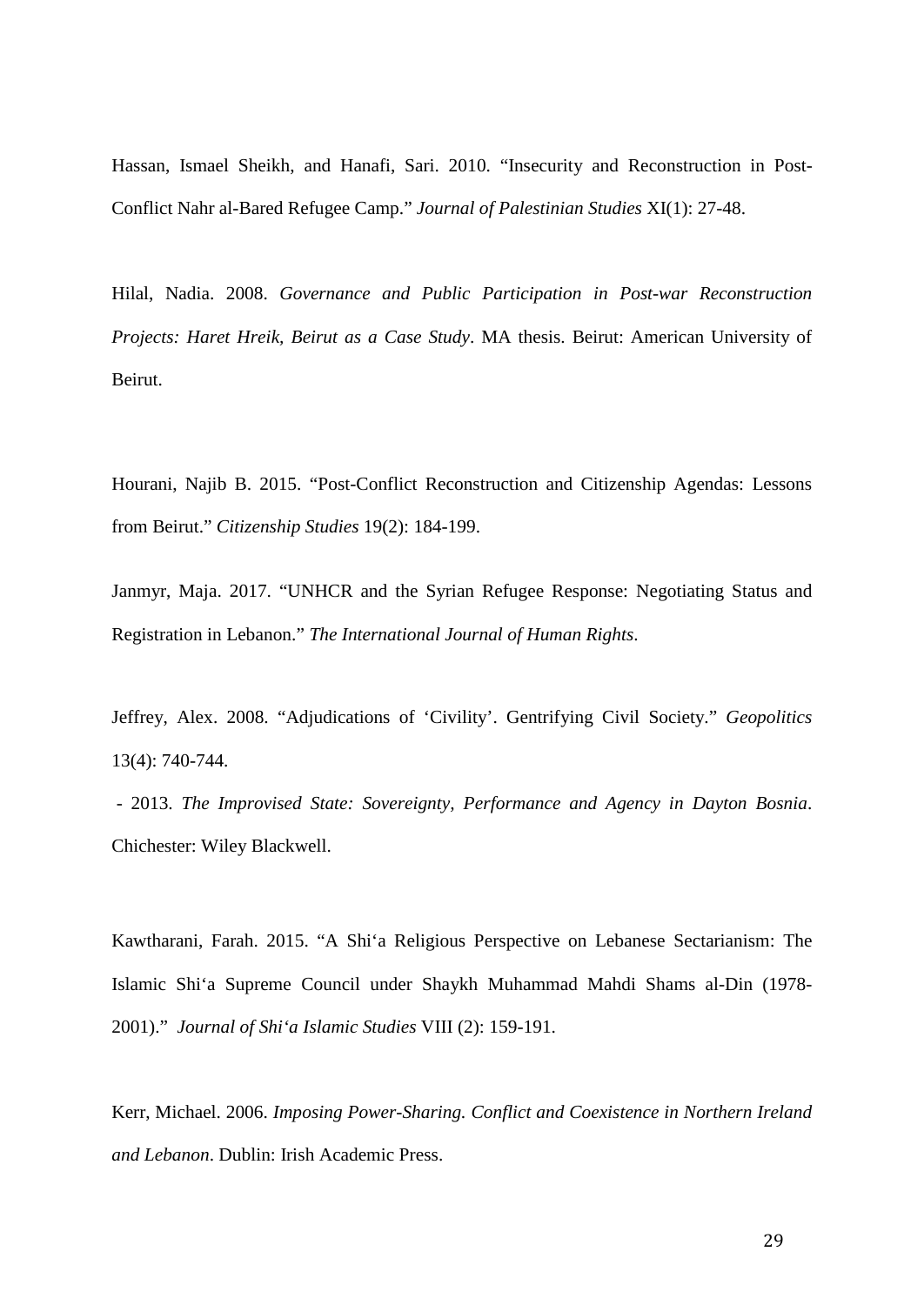Hassan, Ismael Sheikh, and Hanafi, Sari. 2010. "Insecurity and Reconstruction in Post-Conflict Nahr al-Bared Refugee Camp." *Journal of Palestinian Studies* XI(1): 27-48.

Hilal, Nadia. 2008. *Governance and Public Participation in Post-war Reconstruction Projects: Haret Hreik, Beirut as a Case Study*. MA thesis. Beirut: American University of Beirut.

Hourani, Najib B. 2015. "Post-Conflict Reconstruction and Citizenship Agendas: Lessons from Beirut." *Citizenship Studies* 19(2): 184-199.

Janmyr, Maja. 2017. "UNHCR and the Syrian Refugee Response: Negotiating Status and Registration in Lebanon." *The International Journal of Human Rights*.

Jeffrey, Alex. 2008. "Adjudications of 'Civility'. Gentrifying Civil Society." *Geopolitics* 13(4): 740-744.

 - 2013. *The Improvised State: Sovereignty, Performance and Agency in Dayton Bosnia*. Chichester: Wiley Blackwell.

Kawtharani, Farah. 2015. "A Shi'a Religious Perspective on Lebanese Sectarianism: The Islamic Shi'a Supreme Council under Shaykh Muhammad Mahdi Shams al-Din (1978- 2001)." *Journal of Shi'a Islamic Studies* VIII (2): 159-191.

Kerr, Michael. 2006. *Imposing Power-Sharing. Conflict and Coexistence in Northern Ireland and Lebanon*. Dublin: Irish Academic Press.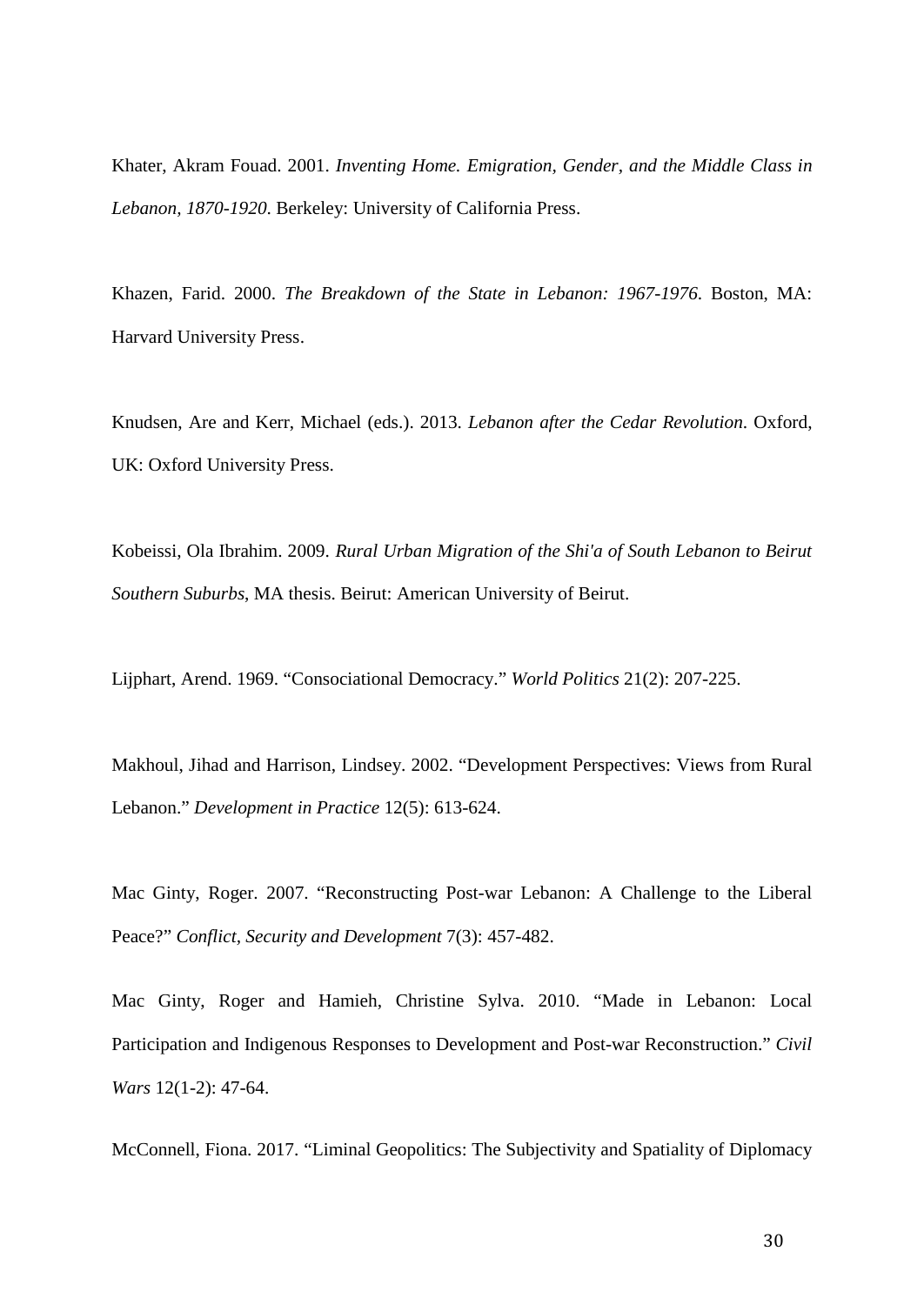Khater, Akram Fouad. 2001. *Inventing Home. Emigration, Gender, and the Middle Class in Lebanon, 1870-1920*. Berkeley: University of California Press.

Khazen, Farid. 2000. *The Breakdown of the State in Lebanon: 1967-1976*. Boston, MA: Harvard University Press.

Knudsen, Are and Kerr, Michael (eds.). 2013. *Lebanon after the Cedar Revolution*. Oxford, UK: Oxford University Press.

Kobeissi, Ola Ibrahim. 2009. *Rural Urban Migration of the Shi'a of South Lebanon to Beirut Southern Suburbs*, MA thesis. Beirut: American University of Beirut.

Lijphart, Arend. 1969. "Consociational Democracy." *World Politics* 21(2): 207-225.

Makhoul, Jihad and Harrison, Lindsey. 2002. "Development Perspectives: Views from Rural Lebanon." *Development in Practice* 12(5): 613-624.

Mac Ginty, Roger. 2007. "Reconstructing Post-war Lebanon: A Challenge to the Liberal Peace?" *Conflict, Security and Development* 7(3): 457-482.

Mac Ginty, Roger and Hamieh, Christine Sylva. 2010. "Made in Lebanon: Local Participation and Indigenous Responses to Development and Post-war Reconstruction." *Civil Wars* 12(1-2): 47-64.

McConnell, Fiona. 2017. "Liminal Geopolitics: The Subjectivity and Spatiality of Diplomacy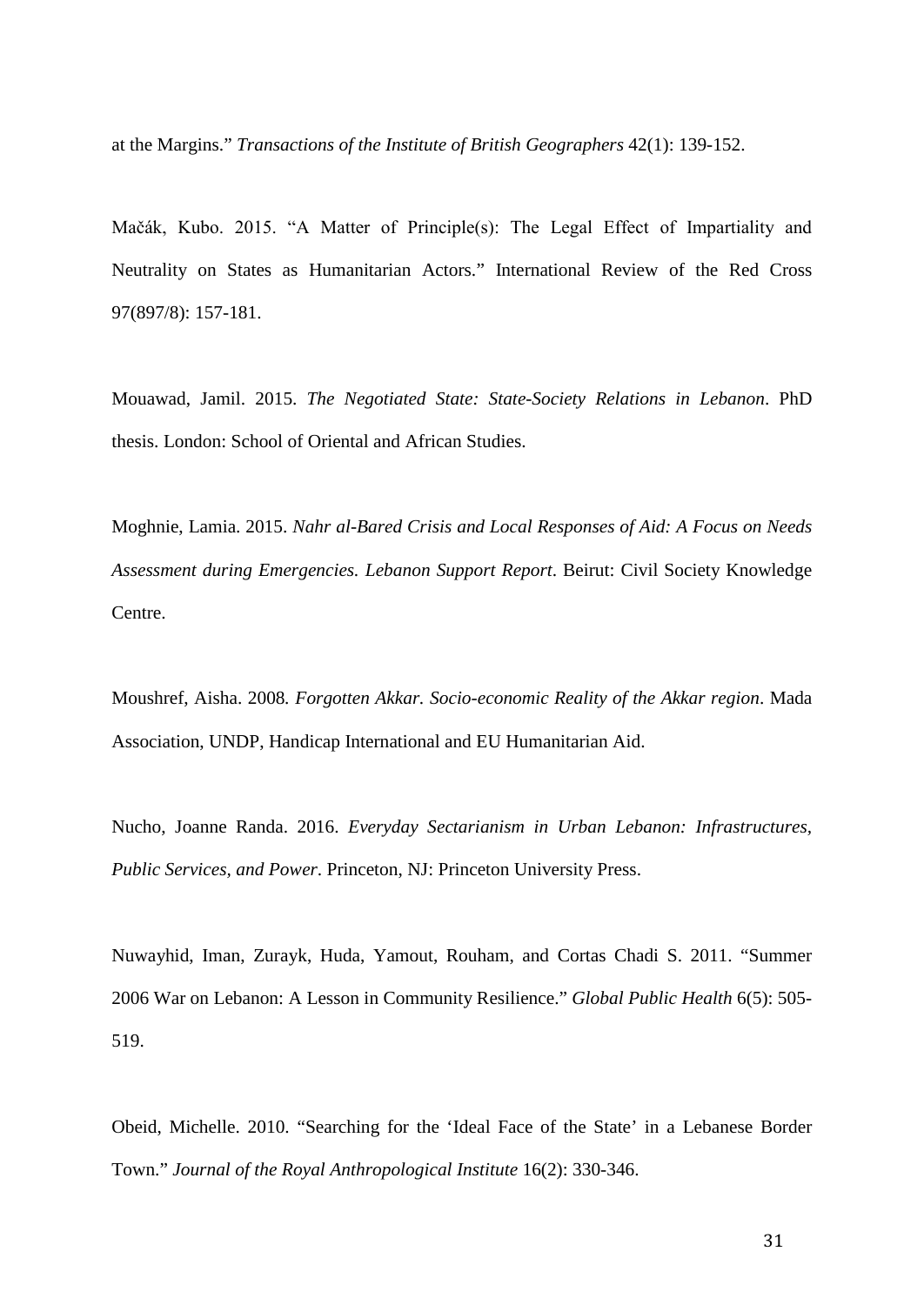at the Margins." *Transactions of the Institute of British Geographers* 42(1): 139-152.

Mačák, Kubo. 2015. "A Matter of Principle(s): The Legal Effect of Impartiality and Neutrality on States as Humanitarian Actors." International Review of the Red Cross 97(897/8): 157-181.

Mouawad, Jamil. 2015. *The Negotiated State: State-Society Relations in Lebanon*. PhD thesis. London: School of Oriental and African Studies.

Moghnie, Lamia. 2015. *Nahr al-Bared Crisis and Local Responses of Aid: A Focus on Needs Assessment during Emergencies. Lebanon Support Report*. Beirut: Civil Society Knowledge Centre.

Moushref, Aisha. 2008*. Forgotten Akkar. Socio-economic Reality of the Akkar region*. Mada Association, UNDP, Handicap International and EU Humanitarian Aid.

Nucho, Joanne Randa. 2016. *Everyday Sectarianism in Urban Lebanon: Infrastructures, Public Services, and Power*. Princeton, NJ: Princeton University Press.

Nuwayhid, Iman, Zurayk, Huda, Yamout, Rouham, and Cortas Chadi S. 2011. "Summer 2006 War on Lebanon: A Lesson in Community Resilience." *Global Public Health* 6(5): 505- 519.

Obeid, Michelle. 2010. "Searching for the 'Ideal Face of the State' in a Lebanese Border Town." *Journal of the Royal Anthropological Institute* 16(2): 330-346.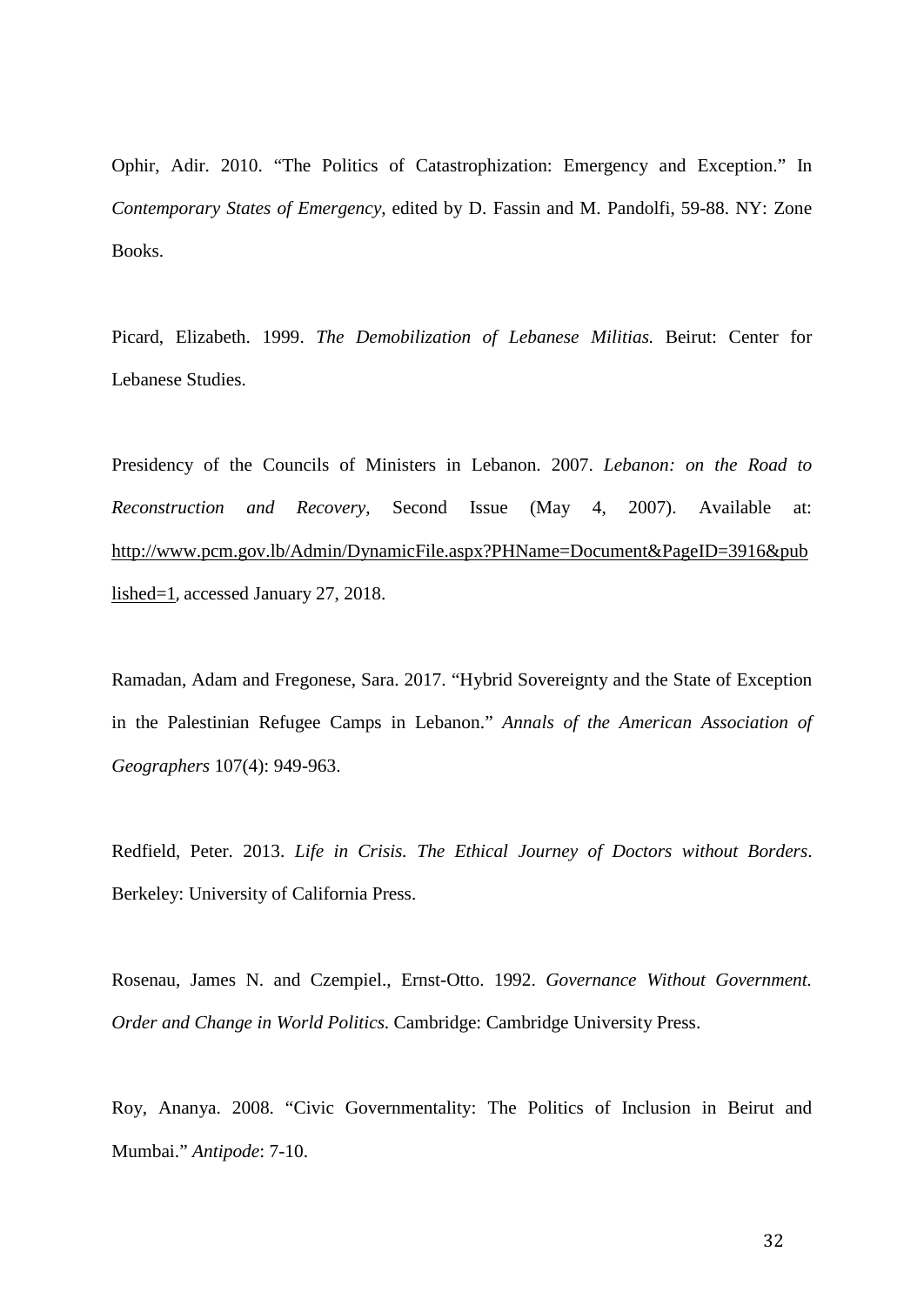Ophir, Adir. 2010. "The Politics of Catastrophization: Emergency and Exception." In *Contemporary States of Emergency*, edited by D. Fassin and M. Pandolfi, 59-88. NY: Zone Books.

Picard, Elizabeth. 1999. *The Demobilization of Lebanese Militias.* Beirut: Center for Lebanese Studies.

Presidency of the Councils of Ministers in Lebanon. 2007. *Lebanon: on the Road to Reconstruction and Recovery*, Second Issue (May 4, 2007). Available at: [http://www.pcm.gov.lb/Admin/DynamicFile.aspx?PHName=Document&PageID=3916&pub](http://www.pcm.gov.lb/Admin/DynamicFile.aspx?PHName=Document&PageID=3916&published=1) [lished=1](http://www.pcm.gov.lb/Admin/DynamicFile.aspx?PHName=Document&PageID=3916&published=1), accessed January 27, 2018.

Ramadan, Adam and Fregonese, Sara. 2017. "Hybrid Sovereignty and the State of Exception in the Palestinian Refugee Camps in Lebanon." *Annals of the American Association of Geographers* 107(4): 949-963.

Redfield, Peter. 2013. *Life in Crisis. The Ethical Journey of Doctors without Borders*. Berkeley: University of California Press.

Rosenau, James N. and Czempiel., Ernst-Otto. 1992. *Governance Without Government. Order and Change in World Politics*. Cambridge: Cambridge University Press.

Roy, Ananya. 2008. "Civic Governmentality: The Politics of Inclusion in Beirut and Mumbai." *Antipode*: 7-10.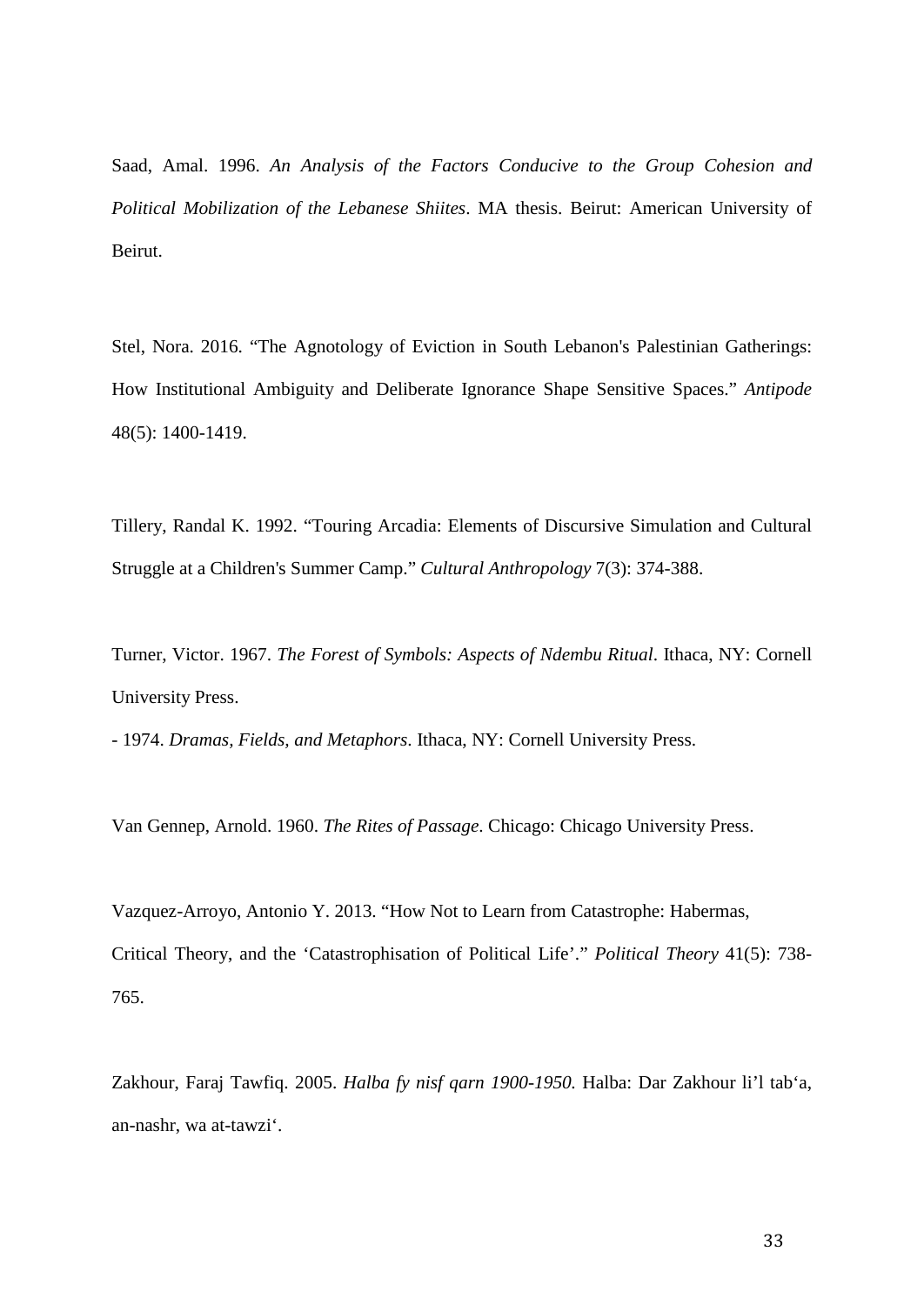Saad, Amal. 1996. *An Analysis of the Factors Conducive to the Group Cohesion and Political Mobilization of the Lebanese Shiites*. MA thesis. Beirut: American University of Beirut.

Stel, Nora. 2016. "The Agnotology of Eviction in South Lebanon's Palestinian Gatherings: How Institutional Ambiguity and Deliberate Ignorance Shape Sensitive Spaces." *Antipode* 48(5): 1400-1419.

Tillery, Randal K. 1992. "Touring Arcadia: Elements of Discursive Simulation and Cultural Struggle at a Children's Summer Camp." *Cultural Anthropology* 7(3): 374-388.

Turner, Victor. 1967. *The Forest of Symbols: Aspects of Ndembu Ritual*. Ithaca, NY: Cornell University Press.

- 1974. *Dramas, Fields, and Metaphors*. Ithaca, NY: Cornell University Press.

Van Gennep, Arnold. 1960. *The Rites of Passage*. Chicago: Chicago University Press.

Vazquez-Arroyo, Antonio Y. 2013. "How Not to Learn from Catastrophe: Habermas, Critical Theory, and the 'Catastrophisation of Political Life'." *Political Theory* 41(5): 738- 765.

Zakhour, Faraj Tawfiq. 2005. *Halba fy nisf qarn 1900-1950.* Halba: Dar Zakhour li'l tab'a, an-nashr, wa at-tawzi'.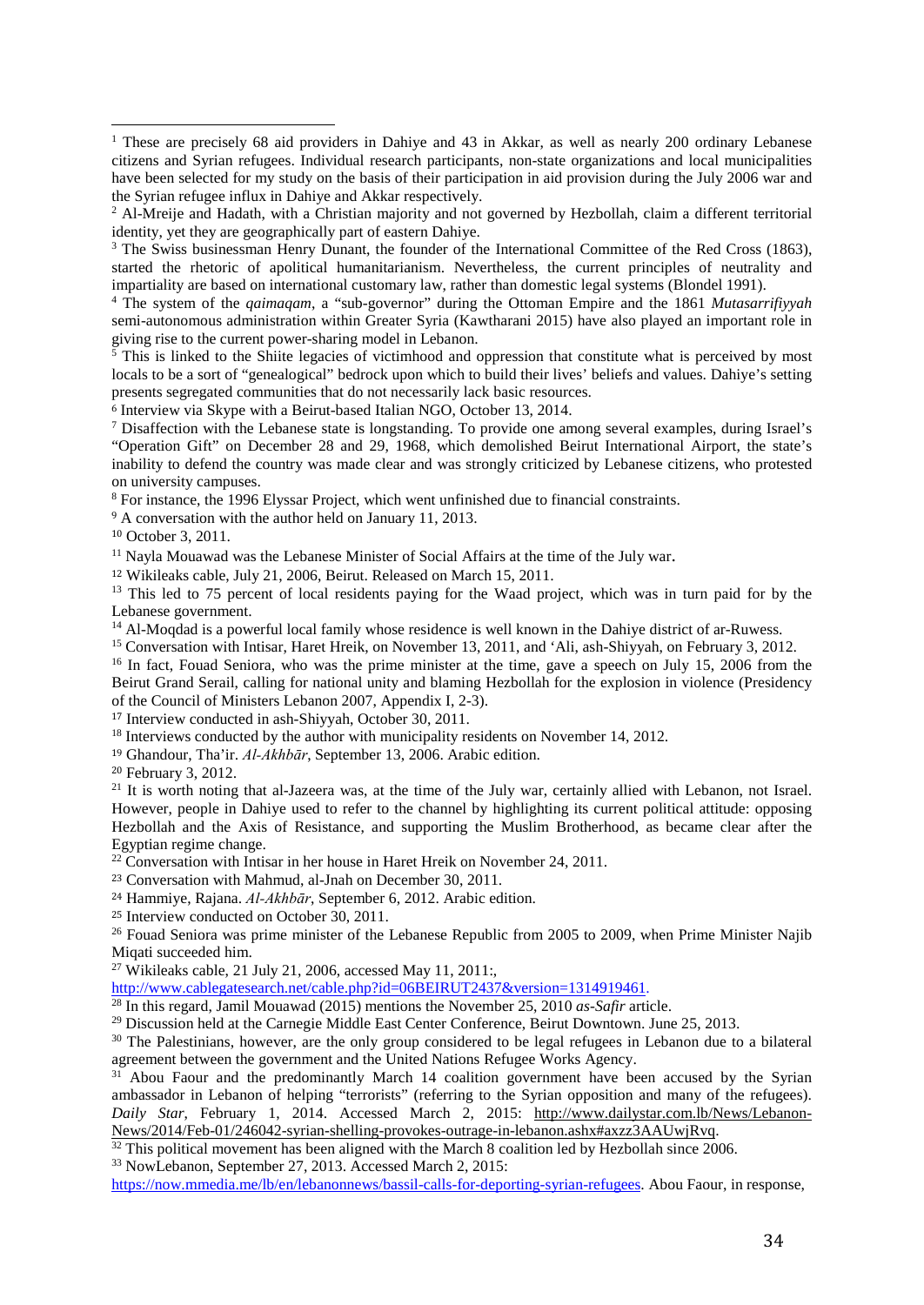<sup>3</sup> The Swiss businessman Henry Dunant, the founder of the International Committee of the Red Cross (1863), started the rhetoric of apolitical humanitarianism. Nevertheless, the current principles of neutrality and impartiality are based on international customary law, rather than domestic legal systems (Blondel 1991).

4 The system of the *qaimaqam*, a "sub-governor" during the Ottoman Empire and the 1861 *Mutasarrifiyyah*  semi-autonomous administration within Greater Syria (Kawtharani 2015) have also played an important role in giving rise to the current power-sharing model in Lebanon.<br><sup>5</sup> This is linked to the Shiite legacies of victimbood and c

 This is linked to the Shiite legacies of victimhood and oppression that constitute what is perceived by most locals to be a sort of "genealogical" bedrock upon which to build their lives' beliefs and values. Dahiye's setting presents segregated communities that do not necessarily lack basic resources.

<sup>6</sup> Interview via Skype with a Beirut-based Italian NGO, October 13, 2014.

<sup>7</sup> Disaffection with the Lebanese state is longstanding. To provide one among several examples, during Israel's "Operation Gift" on December 28 and 29, 1968, which demolished Beirut International Airport, the state's inability to defend the country was made clear and was strongly criticized by Lebanese citizens, who protested on university campuses.

<sup>8</sup> For instance, the 1996 Elyssar Project, which went unfinished due to financial constraints.

<sup>9</sup> A conversation with the author held on January 11, 2013.

<sup>10</sup> October 3, 2011.

<u>.</u>

<sup>11</sup> Nayla Mouawad was the Lebanese Minister of Social Affairs at the time of the July war.

<sup>12</sup> Wikileaks cable, July 21, 2006, Beirut. Released on March 15, 2011.

<sup>13</sup> This led to 75 percent of local residents paying for the Waad project, which was in turn paid for by the Lebanese government.

 $14$  Al-Moqdad is a powerful local family whose residence is well known in the Dahiye district of ar-Ruwess.

<sup>15</sup> Conversation with Intisar, Haret Hreik, on November 13, 2011, and 'Ali, ash-Shiyyah, on February 3, 2012.

<sup>16</sup> In fact, Fouad Seniora, who was the prime minister at the time, gave a speech on July 15, 2006 from the Beirut Grand Serail, calling for national unity and blaming Hezbollah for the explosion in violence (Presidency of the Council of Ministers Lebanon 2007, Appendix I, 2-3).

<sup>17</sup> Interview conducted in ash-Shiyyah, October 30, 2011.

<sup>18</sup> Interviews conducted by the author with municipality residents on November 14, 2012.

<sup>19</sup> Ghandour, Tha'ir. *Al-Akhbār*, September 13, 2006. Arabic edition.

<sup>20</sup> February 3, 2012.

 $21$  It is worth noting that al-Jazeera was, at the time of the July war, certainly allied with Lebanon, not Israel. However, people in Dahiye used to refer to the channel by highlighting its current political attitude: opposing Hezbollah and the Axis of Resistance, and supporting the Muslim Brotherhood, as became clear after the Egyptian regime change.

<sup>22</sup> Conversation with Intisar in her house in Haret Hreik on November 24, 2011.

<sup>23</sup> Conversation with Mahmud, al-Jnah on December 30, 2011.

<sup>24</sup> Hammiye, Rajana. *Al-Akhbār*, September 6, 2012. Arabic edition.

<sup>25</sup> Interview conducted on October 30, 2011.

<sup>26</sup> Fouad Seniora was prime minister of the Lebanese Republic from 2005 to 2009, when Prime Minister Najib Miqati succeeded him.

<sup>27</sup> Wikileaks cable, 21 July 21, 2006, accessed May 11, 2011:,

[http://www.cablegatesearch.net/cable.php?id=06BEIRUT2437&version=1314919461.](http://www.cablegatesearch.net/cable.php?id=06BEIRUT2437&version=1314919461) 

<sup>28</sup> In this regard, Jamil Mouawad (2015) mentions the November 25, 2010 *as-Safir* article.

<sup>29</sup> Discussion held at the Carnegie Middle East Center Conference, Beirut Downtown. June 25, 2013.

<sup>30</sup> The Palestinians, however, are the only group considered to be legal refugees in Lebanon due to a bilateral agreement between the government and the United Nations Refugee Works Agency.

<sup>31</sup> Abou Faour and the predominantly March 14 coalition government have been accused by the Syrian ambassador in Lebanon of helping "terrorists" (referring to the Syrian opposition and many of the refugees). *Daily Star*, February 1, 2014. Accessed March 2, 2015: [http://www.dailystar.com.lb/News/Lebanon-](http://www.dailystar.com.lb/News/Lebanon-News/2014/Feb-01/246042-syrian-shelling-provokes-outrage-in-lebanon.ashx#axzz3AAUwjRvq)[News/2014/Feb-01/246042-syrian-shelling-provokes-outrage-in-lebanon.ashx#axzz3AAUwjRvq.](http://www.dailystar.com.lb/News/Lebanon-News/2014/Feb-01/246042-syrian-shelling-provokes-outrage-in-lebanon.ashx#axzz3AAUwjRvq)

 $32$  This political movement has been aligned with the March 8 coalition led by Hezbollah since 2006.

<sup>33</sup> NowLebanon, September 27, 2013. Accessed March 2, 2015:

[https://now.mmedia.me/lb/en/lebanonnews/bassil-calls-for-deporting-syrian-refugees.](https://now.mmedia.me/lb/en/lebanonnews/bassil-calls-for-deporting-syrian-refugees) Abou Faour, in response,

<sup>&</sup>lt;sup>1</sup> These are precisely 68 aid providers in Dahiye and 43 in Akkar, as well as nearly 200 ordinary Lebanese citizens and Syrian refugees. Individual research participants, non-state organizations and local municipalities have been selected for my study on the basis of their participation in aid provision during the July 2006 war and the Syrian refugee influx in Dahiye and Akkar respectively.

<sup>&</sup>lt;sup>2</sup> Al-Mreije and Hadath, with a Christian majority and not governed by Hezbollah, claim a different territorial identity, yet they are geographically part of eastern Dahiye.